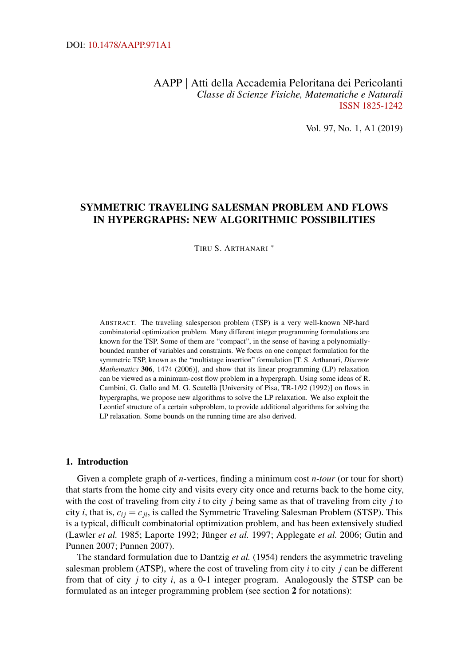## AAPP | Atti della Accademia Peloritana dei Pericolanti *Classe di Scienze Fisiche, Matematiche e Naturali* [ISSN 1825-1242](http://dx.doi.org/10.1478/18251242)

Vol. 97, No. 1, A1 (2019)

# SYMMETRIC TRAVELING SALESMAN PROBLEM AND FLOWS IN HYPERGRAPHS: NEW ALGORITHMIC POSSIBILITIES

TIRU S. ARTHANARI [∗](#page-30-0)

ABSTRACT. The traveling salesperson problem (TSP) is a very well-known NP-hard combinatorial optimization problem. Many different integer programming formulations are known for the TSP. Some of them are "compact", in the sense of having a polynomiallybounded number of variables and constraints. We focus on one compact formulation for the symmetric TSP, known as the "multistage insertion" formulation [T. S. Arthanari, *Discrete Mathematics* 306, 1474 (2006)], and show that its linear programming (LP) relaxation can be viewed as a minimum-cost flow problem in a hypergraph. Using some ideas of R. Cambini, G. Gallo and M. G. Scutellà [University of Pisa, TR-1/92 (1992)] on flows in hypergraphs, we propose new algorithms to solve the LP relaxation. We also exploit the Leontief structure of a certain subproblem, to provide additional algorithms for solving the LP relaxation. Some bounds on the running time are also derived.

### 1. Introduction

Given a complete graph of *n*-vertices, finding a minimum cost *n-tour* (or tour for short) that starts from the home city and visits every city once and returns back to the home city, with the cost of traveling from city *i* to city *j* being same as that of traveling from city *j* to city *i*, that is,  $c_{ij} = c_{ji}$ , is called the Symmetric Traveling Salesman Problem (STSP). This is a typical, difficult combinatorial optimization problem, and has been extensively studied (Lawler *et al.* [1985;](#page-32-0) Laporte [1992;](#page-32-1) Jünger *et al.* [1997;](#page-32-2) Applegate *et al.* [2006;](#page-30-1) Gutin and Punnen [2007;](#page-31-0) Punnen [2007\)](#page-33-0).

The standard formulation due to Dantzig *et al.* [\(1954\)](#page-30-2) renders the asymmetric traveling salesman problem (ATSP), where the cost of traveling from city *i* to city *j* can be different from that of city *j* to city *i*, as a 0-1 integer program. Analogously the STSP can be formulated as an integer programming problem (see section [2](#page-3-0) for notations):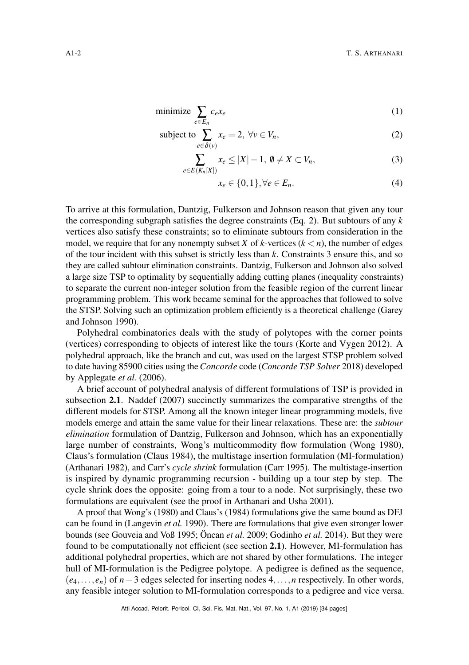$$
\text{minimize } \sum_{e \in E_n} c_e x_e \tag{1}
$$

subject to 
$$
\sum_{e \in \delta(v)} x_e = 2, \ \forall v \in V_n,
$$
 (2)

$$
\sum_{e \in E(K_n[X])} x_e \le |X| - 1, \ \emptyset \ne X \subset V_n,\tag{3}
$$

<span id="page-1-1"></span><span id="page-1-0"></span>
$$
x_e \in \{0, 1\}, \forall e \in E_n. \tag{4}
$$

To arrive at this formulation, Dantzig, Fulkerson and Johnson reason that given any tour the corresponding subgraph satisfies the degree constraints (Eq. [2\)](#page-1-0). But subtours of any *k* vertices also satisfy these constraints; so to eliminate subtours from consideration in the model, we require that for any nonempty subset *X* of *k*-vertices  $(k < n)$ , the number of edges of the tour incident with this subset is strictly less than *k*. Constraints [3](#page-1-1) ensure this, and so they are called subtour elimination constraints. Dantzig, Fulkerson and Johnson also solved a large size TSP to optimality by sequentially adding cutting planes (inequality constraints) to separate the current non-integer solution from the feasible region of the current linear programming problem. This work became seminal for the approaches that followed to solve the STSP. Solving such an optimization problem efficiently is a theoretical challenge (Garey and Johnson [1990\)](#page-31-1).

Polyhedral combinatorics deals with the study of polytopes with the corner points (vertices) corresponding to objects of interest like the tours (Korte and Vygen [2012\)](#page-32-3). A polyhedral approach, like the branch and cut, was used on the largest STSP problem solved to date having 85900 cities using the*Concorde* code (*[Concorde TSP Solver](#page-30-3)* [2018\)](#page-30-3) developed by Applegate *et al.* [\(2006\)](#page-30-1).

A brief account of polyhedral analysis of different formulations of TSP is provided in subsection [2.1](#page-4-0). Naddef [\(2007\)](#page-32-4) succinctly summarizes the comparative strengths of the different models for STSP. Among all the known integer linear programming models, five models emerge and attain the same value for their linear relaxations. These are: the *subtour elimination* formulation of Dantzig, Fulkerson and Johnson, which has an exponentially large number of constraints, Wong's multicommodity flow formulation (Wong [1980\)](#page-33-1), Claus's formulation (Claus [1984\)](#page-30-4), the multistage insertion formulation (MI-formulation) (Arthanari [1982\)](#page-30-5), and Carr's *cycle shrink* formulation (Carr [1995\)](#page-30-6). The multistage-insertion is inspired by dynamic programming recursion - building up a tour step by step. The cycle shrink does the opposite: going from a tour to a node. Not surprisingly, these two formulations are equivalent (see the proof in Arthanari and Usha [2001\)](#page-30-7).

A proof that Wong's (1980) and Claus's (1984) formulations give the same bound as DFJ can be found in (Langevin *et al.* [1990\)](#page-32-5). There are formulations that give even stronger lower bounds (see Gouveia and Voß [1995;](#page-31-2) Öncan *et al.* [2009;](#page-32-6) Godinho *et al.* [2014\)](#page-31-3). But they were found to be computationally not efficient (see section [2.1](#page-4-0)). However, MI-formulation has additional polyhedral properties, which are not shared by other formulations. The integer hull of MI-formulation is the Pedigree polytope. A pedigree is defined as the sequence, (*e*4,..., *en*) of *n*−3 edges selected for inserting nodes 4,...,*n* respectively. In other words, any feasible integer solution to MI-formulation corresponds to a pedigree and vice versa.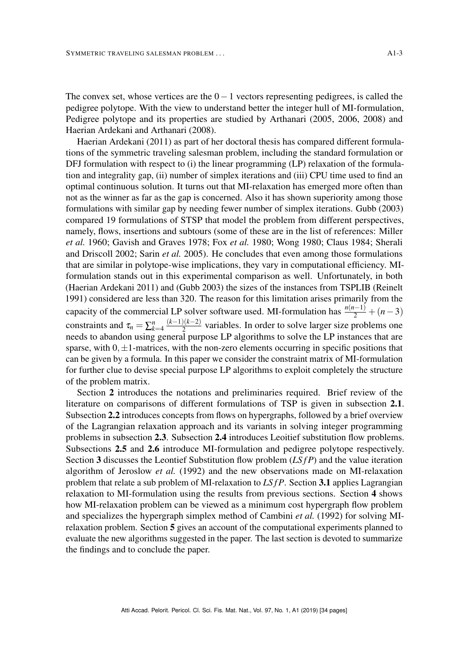The convex set, whose vertices are the  $0-1$  vectors representing pedigrees, is called the pedigree polytope. With the view to understand better the integer hull of MI-formulation, Pedigree polytope and its properties are studied by Arthanari [\(2005,](#page-30-8) [2006,](#page-30-9) [2008\)](#page-30-10) and Haerian Ardekani and Arthanari [\(2008\)](#page-31-4).

Haerian Ardekani [\(2011\)](#page-31-5) as part of her doctoral thesis has compared different formulations of the symmetric traveling salesman problem, including the standard formulation or DFJ formulation with respect to (i) the linear programming (LP) relaxation of the formulation and integrality gap, (ii) number of simplex iterations and (iii) CPU time used to find an optimal continuous solution. It turns out that MI-relaxation has emerged more often than not as the winner as far as the gap is concerned. Also it has shown superiority among those formulations with similar gap by needing fewer number of simplex iterations. Gubb [\(2003\)](#page-31-6) compared 19 formulations of STSP that model the problem from different perspectives, namely, flows, insertions and subtours (some of these are in the list of references: Miller *et al.* [1960;](#page-32-7) Gavish and Graves [1978;](#page-31-7) Fox *et al.* [1980;](#page-31-8) Wong [1980;](#page-33-1) Claus [1984;](#page-30-4) Sherali and Driscoll [2002;](#page-33-3) Sarin *et al.* [2005\)](#page-33-4). He concludes that even among those formulations that are similar in polytope-wise implications, they vary in computational efficiency. MIformulation stands out in this experimental comparison as well. Unfortunately, in both (Haerian Ardekani [2011\)](#page-31-5) and (Gubb [2003\)](#page-31-6) the sizes of the instances from TSPLIB (Reinelt [1991\)](#page-33-5) considered are less than 320. The reason for this limitation arises primarily from the capacity of the commercial LP solver software used. MI-formulation has  $\frac{n(n-1)}{2} + (n-3)$ constraints and  $\tau_n = \sum_{k=4}^n \frac{(k-1)(k-2)}{2}$  $\frac{2}{2}$  variables. In order to solve larger size problems one needs to abandon using general purpose LP algorithms to solve the LP instances that are sparse, with  $0, \pm 1$ -matrices, with the non-zero elements occurring in specific positions that can be given by a formula. In this paper we consider the constraint matrix of MI-formulation for further clue to devise special purpose LP algorithms to exploit completely the structure of the problem matrix.

Section [2](#page-3-0) introduces the notations and preliminaries required. Brief review of the literature on comparisons of different formulations of TSP is given in subsection [2.1](#page-4-0). Subsection [2.2](#page-6-0) introduces concepts from flows on hypergraphs, followed by a brief overview of the Lagrangian relaxation approach and its variants in solving integer programming problems in subsection [2.3](#page-7-0). Subsection [2.4](#page-9-0) introduces Leoitief substitution flow problems. Subsections [2.5](#page-11-0) and [2.6](#page-12-0) introduce MI-formulation and pedigree polytope respectively. Section [3](#page-14-0) discusses the Leontief Substitution flow problem (*LS f P*) and the value iteration algorithm of Jeroslow *et al.* [\(1992\)](#page-32-8) and the new observations made on MI-relaxation problem that relate a sub problem of MI-relaxation to *LSfP*. Section [3.1](#page-17-0) applies Lagrangian relaxation to MI-formulation using the results from previous sections. Section [4](#page-21-0) shows how MI-relaxation problem can be viewed as a minimum cost hypergraph flow problem and specializes the hypergraph simplex method of Cambini *et al.* [\(1992\)](#page-30-11) for solving MIrelaxation problem. Section [5](#page-24-0) gives an account of the computational experiments planned to evaluate the new algorithms suggested in the paper. The last section is devoted to summarize the findings and to conclude the paper.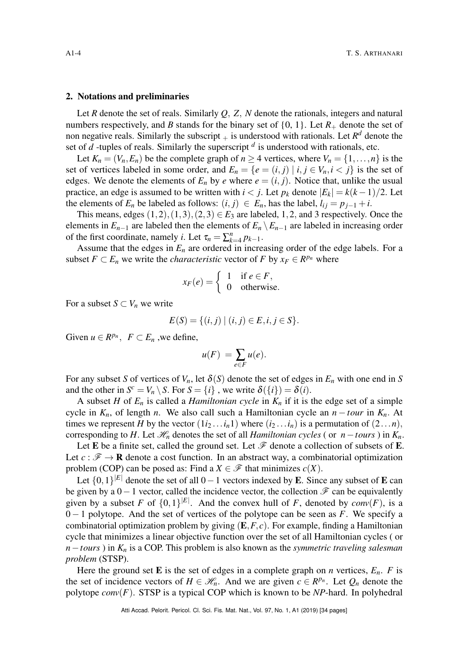#### <span id="page-3-0"></span>2. Notations and preliminaries

Let *R* denote the set of reals. Similarly *Q*, *Z*, *N* denote the rationals, integers and natural numbers respectively, and *B* stands for the binary set of  $\{0, 1\}$ . Let  $R_+$  denote the set of non negative reals. Similarly the subscript  $_+$  is understood with rationals. Let  $R^d$  denote the set of *d* -tuples of reals. Similarly the superscript *<sup>d</sup>* is understood with rationals, etc.

Let  $K_n = (V_n, E_n)$  be the complete graph of  $n \ge 4$  vertices, where  $V_n = \{1, \ldots, n\}$  is the set of vertices labeled in some order, and  $E_n = \{e = (i, j) | i, j \in V_n, i < j\}$  is the set of edges. We denote the elements of  $E_n$  by *e* where  $e = (i, j)$ . Notice that, unlike the usual practice, an edge is assumed to be written with  $i < j$ . Let  $p_k$  denote  $|E_k| = k(k-1)/2$ . Let the elements of  $E_n$  be labeled as follows:  $(i, j) \in E_n$ , has the label,  $l_{ij} = p_{j-1} + i$ .

This means, edges  $(1,2), (1,3), (2,3) \in E_3$  are labeled, 1,2, and 3 respectively. Once the elements in  $E_{n-1}$  are labeled then the elements of  $E_n \setminus E_{n-1}$  are labeled in increasing order of the first coordinate, namely *i*. Let  $\tau_n = \sum_{k=4}^n p_{k-1}$ .

Assume that the edges in  $E_n$  are ordered in increasing order of the edge labels. For a subset  $F \subset E_n$  we write the *characteristic* vector of  $F$  by  $x_F \in R^{p_n}$  where

$$
x_F(e) = \begin{cases} 1 & \text{if } e \in F, \\ 0 & \text{otherwise.} \end{cases}
$$

For a subset  $S \subset V_n$  we write

$$
E(S) = \{(i, j) \mid (i, j) \in E, i, j \in S\}.
$$

Given  $u \in R^{p_n}$ ,  $F \subset E_n$ , we define,

$$
u(F) = \sum_{e \in F} u(e).
$$

For any subset *S* of vertices of  $V_n$ , let  $\delta(S)$  denote the set of edges in  $E_n$  with one end in *S* and the other in  $S^c = V_n \setminus S$ . For  $S = \{i\}$ , we write  $\delta(\{i\}) = \delta(i)$ .

A subset *H* of  $E_n$  is called a *Hamiltonian cycle* in  $K_n$  if it is the edge set of a simple cycle in  $K_n$ , of length *n*. We also call such a Hamiltonian cycle an  $n - t \omega r$  in  $K_n$ . At times we represent *H* by the vector  $(1i_2...i_n1)$  where  $(i_2...i_n)$  is a permutation of  $(2...n)$ , corresponding to *H*. Let  $\mathcal{H}_n$  denotes the set of all *Hamiltonian cycles* ( or *n*−*tours* ) in  $K_n$ .

Let E be a finite set, called the ground set. Let  $\mathscr F$  denote a collection of subsets of E. Let  $c : \mathcal{F} \to \mathbf{R}$  denote a cost function. In an abstract way, a combinatorial optimization problem (COP) can be posed as: Find a  $X \in \mathcal{F}$  that minimizes  $c(X)$ .

Let  $\{0,1\}^{|E|}$  denote the set of all  $0-1$  vectors indexed by **E**. Since any subset of **E** can be given by a  $0-1$  vector, called the incidence vector, the collection  $\mathscr F$  can be equivalently given by a subset *F* of  $\{0,1\}^{|E|}$ . And the convex hull of *F*, denoted by *conv*(*F*), is a 0 − 1 polytope. And the set of vertices of the polytope can be seen as *F*. We specify a combinatorial optimization problem by giving (E,*F*, *c*). For example, finding a Hamiltonian cycle that minimizes a linear objective function over the set of all Hamiltonian cycles ( or *n*−*tours*) in  $K_n$  is a COP. This problem is also known as the *symmetric traveling salesman problem* (STSP).

Here the ground set **E** is the set of edges in a complete graph on *n* vertices,  $E_n$ . *F* is the set of incidence vectors of  $H \in \mathcal{H}_n$ . And we are given  $c \in R^{p_n}$ . Let  $Q_n$  denote the polytope *conv*(*F*). STSP is a typical COP which is known to be *NP*-hard. In polyhedral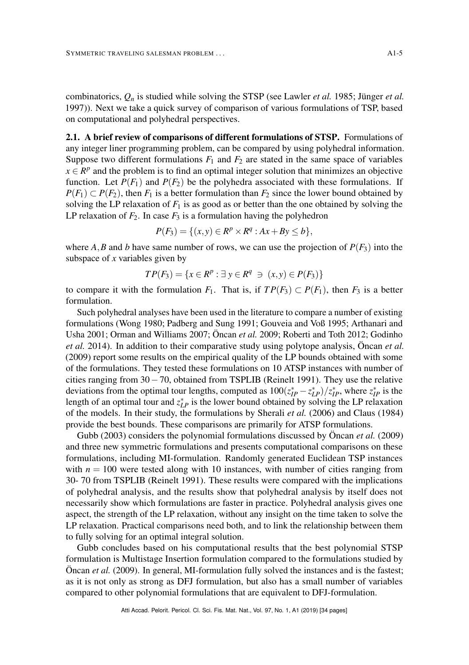combinatorics, *Q<sup>n</sup>* is studied while solving the STSP (see Lawler *et al.* [1985;](#page-32-0) Jünger *et al.* [1997\)](#page-32-2)). Next we take a quick survey of comparison of various formulations of TSP, based on computational and polyhedral perspectives.

<span id="page-4-0"></span>2.1. A brief review of comparisons of different formulations of STSP. Formulations of any integer liner programming problem, can be compared by using polyhedral information. Suppose two different formulations  $F_1$  and  $F_2$  are stated in the same space of variables  $x \in \mathbb{R}^p$  and the problem is to find an optimal integer solution that minimizes an objective function. Let  $P(F_1)$  and  $P(F_2)$  be the polyhedra associated with these formulations. If  $P(F_1) \subset P(F_2)$ , then  $F_1$  is a better formulation than  $F_2$  since the lower bound obtained by solving the LP relaxation of  $F_1$  is as good as or better than the one obtained by solving the LP relaxation of  $F_2$ . In case  $F_3$  is a formulation having the polyhedron

$$
P(F_3) = \{ (x, y) \in R^p \times R^q : Ax + By \le b \},\
$$

where *A*,*B* and *b* have same number of rows, we can use the projection of  $P(F_3)$  into the subspace of *x* variables given by

$$
TP(F_3) = \{x \in R^p : \exists y \in R^q \ni (x, y) \in P(F_3)\}\
$$

to compare it with the formulation  $F_1$ . That is, if  $TP(F_3) \subset P(F_1)$ , then  $F_3$  is a better formulation.

Such polyhedral analyses have been used in the literature to compare a number of existing formulations (Wong [1980;](#page-33-1) Padberg and Sung [1991;](#page-32-9) Gouveia and Voß [1995;](#page-31-2) Arthanari and Usha [2001;](#page-30-7) Orman and Williams [2007;](#page-32-10) Öncan *et al.* [2009;](#page-32-6) Roberti and Toth [2012;](#page-33-6) Godinho *et al.* [2014\)](#page-31-3). In addition to their comparative study using polytope analysis, Öncan *et al.* [\(2009\)](#page-32-6) report some results on the empirical quality of the LP bounds obtained with some of the formulations. They tested these formulations on 10 ATSP instances with number of cities ranging from 30−70, obtained from TSPLIB (Reinelt [1991\)](#page-33-5). They use the relative deviations from the optimal tour lengths, computed as  $100(z_{IP}^* - z_{LP}^*)/z_{IP}^*$ , where  $z_{IP}^*$  is the length of an optimal tour and  $z_{LP}^*$  is the lower bound obtained by solving the LP relaxation of the models. In their study, the formulations by Sherali *et al.* [\(2006\)](#page-33-7) and Claus [\(1984\)](#page-30-4) provide the best bounds. These comparisons are primarily for ATSP formulations.

Gubb [\(2003\)](#page-31-6) considers the polynomial formulations discussed by Öncan *et al.* [\(2009\)](#page-32-6) and three new symmetric formulations and presents computational comparisons on these formulations, including MI-formulation. Randomly generated Euclidean TSP instances with  $n = 100$  were tested along with 10 instances, with number of cities ranging from 30- 70 from TSPLIB (Reinelt [1991\)](#page-33-5). These results were compared with the implications of polyhedral analysis, and the results show that polyhedral analysis by itself does not necessarily show which formulations are faster in practice. Polyhedral analysis gives one aspect, the strength of the LP relaxation, without any insight on the time taken to solve the LP relaxation. Practical comparisons need both, and to link the relationship between them to fully solving for an optimal integral solution.

Gubb concludes based on his computational results that the best polynomial STSP formulation is Multistage Insertion formulation compared to the formulations studied by Öncan *et al.* [\(2009\)](#page-32-6). In general, MI-formulation fully solved the instances and is the fastest; as it is not only as strong as DFJ formulation, but also has a small number of variables compared to other polynomial formulations that are equivalent to DFJ-formulation.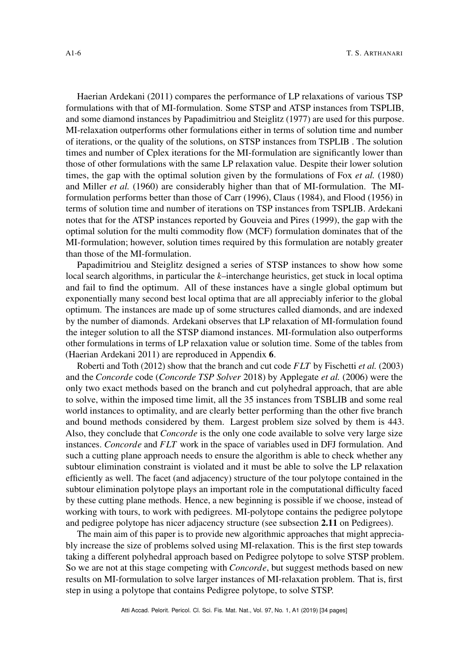Haerian Ardekani [\(2011\)](#page-31-5) compares the performance of LP relaxations of various TSP formulations with that of MI-formulation. Some STSP and ATSP instances from TSPLIB, and some diamond instances by Papadimitriou and Steiglitz [\(1977\)](#page-32-11) are used for this purpose. MI-relaxation outperforms other formulations either in terms of solution time and number of iterations, or the quality of the solutions, on STSP instances from TSPLIB . The solution times and number of Cplex iterations for the MI-formulation are significantly lower than those of other formulations with the same LP relaxation value. Despite their lower solution times, the gap with the optimal solution given by the formulations of Fox *et al.* [\(1980\)](#page-31-8) and Miller *et al.* [\(1960\)](#page-32-7) are considerably higher than that of MI-formulation. The MIformulation performs better than those of Carr [\(1996\)](#page-30-12), Claus [\(1984\)](#page-30-4), and Flood [\(1956\)](#page-31-9) in terms of solution time and number of iterations on TSP instances from TSPLIB. Ardekani notes that for the ATSP instances reported by Gouveia and Pires [\(1999\)](#page-31-10), the gap with the optimal solution for the multi commodity flow (MCF) formulation dominates that of the MI-formulation; however, solution times required by this formulation are notably greater than those of the MI-formulation.

Papadimitriou and Steiglitz designed a series of STSP instances to show how some local search algorithms, in particular the *k*–interchange heuristics, get stuck in local optima and fail to find the optimum. All of these instances have a single global optimum but exponentially many second best local optima that are all appreciably inferior to the global optimum. The instances are made up of some structures called diamonds, and are indexed by the number of diamonds. Ardekani observes that LP relaxation of MI-formulation found the integer solution to all the STSP diamond instances. MI-formulation also outperforms other formulations in terms of LP relaxation value or solution time. Some of the tables from (Haerian Ardekani [2011\)](#page-31-5) are reproduced in Appendix [6](#page-25-0).

Roberti and Toth [\(2012\)](#page-33-6) show that the branch and cut code *FLT* by Fischetti *et al.* [\(2003\)](#page-31-11) and the *Concorde* code (*[Concorde TSP Solver](#page-30-3)* [2018\)](#page-30-3) by Applegate *et al.* [\(2006\)](#page-30-1) were the only two exact methods based on the branch and cut polyhedral approach, that are able to solve, within the imposed time limit, all the 35 instances from TSBLIB and some real world instances to optimality, and are clearly better performing than the other five branch and bound methods considered by them. Largest problem size solved by them is 443. Also, they conclude that *Concorde* is the only one code available to solve very large size instances. *Concorde* and *FLT* work in the space of variables used in DFJ formulation. And such a cutting plane approach needs to ensure the algorithm is able to check whether any subtour elimination constraint is violated and it must be able to solve the LP relaxation efficiently as well. The facet (and adjacency) structure of the tour polytope contained in the subtour elimination polytope plays an important role in the computational difficulty faced by these cutting plane methods. Hence, a new beginning is possible if we choose, instead of working with tours, to work with pedigrees. MI-polytope contains the pedigree polytope and pedigree polytope has nicer adjacency structure (see subsection [2.11](#page-13-0) on Pedigrees).

The main aim of this paper is to provide new algorithmic approaches that might appreciably increase the size of problems solved using MI-relaxation. This is the first step towards taking a different polyhedral approach based on Pedigree polytope to solve STSP problem. So we are not at this stage competing with *Concorde*, but suggest methods based on new results on MI-formulation to solve larger instances of MI-relaxation problem. That is, first step in using a polytope that contains Pedigree polytope, to solve STSP.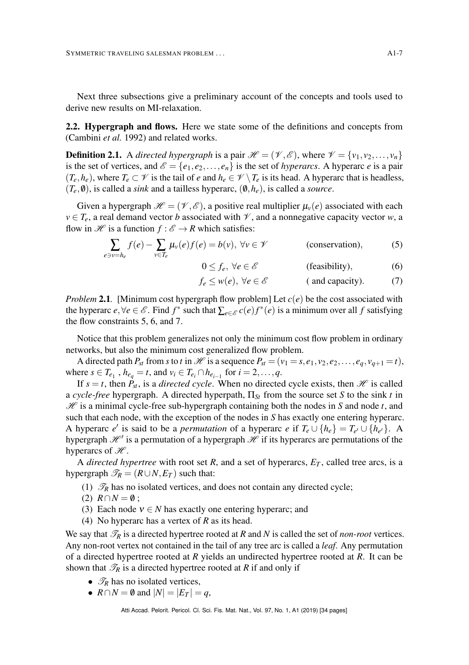Next three subsections give a preliminary account of the concepts and tools used to derive new results on MI-relaxation.

<span id="page-6-0"></span>2.2. Hypergraph and flows. Here we state some of the definitions and concepts from (Cambini *et al.* [1992\)](#page-30-11) and related works.

**Definition 2.1.** A *directed hypergraph* is a pair  $\mathcal{H} = (\mathcal{V}, \mathcal{E})$ , where  $\mathcal{V} = {\nu_1, \nu_2, ..., \nu_n}$ is the set of vertices, and  $\mathscr{E} = \{e_1, e_2, \dots, e_n\}$  is the set of *hyperarcs*. A hyperarc *e* is a pair  $(T_e, h_e)$ , where  $T_e \subset \mathcal{V}$  is the tail of *e* and  $h_e \in \mathcal{V} \setminus T_e$  is its head. A hyperarc that is headless,  $(T_e, \emptyset)$ , is called a *sink* and a tailless hyperarc,  $(\emptyset, h_e)$ , is called a *source*.

Given a hypergraph  $\mathcal{H} = (\mathcal{V}, \mathcal{E})$ , a positive real multiplier  $\mu_{\nu}(e)$  associated with each  $v \in T_e$ , a real demand vector *b* associated with  $\mathcal V$ , and a nonnegative capacity vector *w*, a flow in H is a function  $f : \mathscr{E} \to \mathbb{R}$  which satisfies:

$$
\sum_{e \ni v = h_e} f(e) - \sum_{v \in T_e} \mu_v(e) f(e) = b(v), \ \forall v \in \mathcal{V}
$$
 (conservation), (5)

<span id="page-6-3"></span><span id="page-6-2"></span><span id="page-6-1"></span>
$$
0 \le f_e, \,\forall e \in \mathscr{E} \qquad \qquad \text{(feasibility)}, \tag{6}
$$

$$
f_e \le w(e), \forall e \in \mathscr{E}
$$
 (and capacity). (7)

<span id="page-6-4"></span>*Problem* 2.1. [Minimum cost hypergraph flow problem] Let  $c(e)$  be the cost associated with the hyperarc  $e, \forall e \in \mathcal{E}$ . Find  $f^*$  such that  $\sum_{e \in \mathcal{E}} c(e) f^*(e)$  is a minimum over all  $f$  satisfying the flow constraints [5,](#page-6-1) [6,](#page-6-2) and [7.](#page-6-3)

Notice that this problem generalizes not only the minimum cost flow problem in ordinary networks, but also the minimum cost generalized flow problem.

A directed path  $P_{st}$  from *s* to *t* in H is a sequence  $P_{st} = (v_1 = s, e_1, v_2, e_2, \dots, e_q, v_{q+1} = t)$ , where  $s \in T_{e_1}$ ,  $h_{e_q} = t$ , and  $v_i \in T_{e_i} \cap h_{e_{i-1}}$  for  $i = 2, \ldots, q$ .

If  $s = t$ , then  $P_{st}$ , is a *directed cycle*. When no directed cycle exists, then H is called a *cycle-free* hypergraph. A directed hyperpath,  $\Pi_{St}$  from the source set *S* to the sink *t* in  $\mathcal{H}$  is a minimal cycle-free sub-hypergraph containing both the nodes in *S* and node *t*, and such that each node, with the exception of the nodes in *S* has exactly one entering hyperarc. A hyperarc *e'* is said to be a *permutation* of a hyperarc *e* if  $T_e \cup \{h_e\} = T_{e'} \cup \{h_{e'}\}$ . A hypergraph  $\mathscr{H}^{\prime}$  is a permutation of a hypergraph  $\mathscr{H}$  if its hyperarcs are permutations of the hyperarcs of  $\mathcal{H}$ .

A *directed hypertree* with root set  $R$ , and a set of hyperarcs,  $E_T$ , called tree arcs, is a hypergraph  $\mathcal{T}_R = (R \cup N, E_T)$  such that:

- (1)  $\mathcal{T}_R$  has no isolated vertices, and does not contain any directed cycle;
- $(2)$   $R \cap N = \emptyset$ :
- (3) Each node  $v \in N$  has exactly one entering hyperarc; and
- (4) No hyperarc has a vertex of *R* as its head.

We say that  $\mathcal{T}_R$  is a directed hypertree rooted at  $R$  and  $N$  is called the set of *non-root* vertices. Any non-root vertex not contained in the tail of any tree arc is called a *leaf*. Any permutation of a directed hypertree rooted at *R* yields an undirected hypertree rooted at *R*. It can be shown that  $\mathcal{T}_R$  is a directed hypertree rooted at *R* if and only if

- $\mathcal{T}_R$  has no isolated vertices,
- $R \cap N = \emptyset$  and  $|N| = |E_T| = q$ ,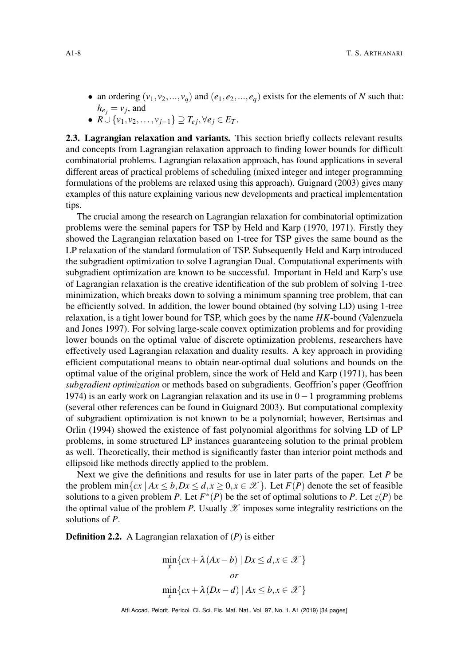- an ordering  $(v_1, v_2, ..., v_q)$  and  $(e_1, e_2, ..., e_q)$  exists for the elements of *N* such that:  $h_{e_j} = v_j$ , and
- $\bullet$  *R*∪{*v*<sub>1</sub>,*v*<sub>2</sub>,...,*v*<sub>*j*−1</sub>} ⊇ *T*<sub>*ei*</sub>, ∀*ej* ∈ *ET*.

<span id="page-7-0"></span>2.3. Lagrangian relaxation and variants. This section briefly collects relevant results and concepts from Lagrangian relaxation approach to finding lower bounds for difficult combinatorial problems. Lagrangian relaxation approach, has found applications in several different areas of practical problems of scheduling (mixed integer and integer programming formulations of the problems are relaxed using this approach). Guignard [\(2003\)](#page-31-12) gives many examples of this nature explaining various new developments and practical implementation tips.

The crucial among the research on Lagrangian relaxation for combinatorial optimization problems were the seminal papers for TSP by Held and Karp [\(1970,](#page-31-13) [1971\)](#page-31-14). Firstly they showed the Lagrangian relaxation based on 1-tree for TSP gives the same bound as the LP relaxation of the standard formulation of TSP. Subsequently Held and Karp introduced the subgradient optimization to solve Lagrangian Dual. Computational experiments with subgradient optimization are known to be successful. Important in Held and Karp's use of Lagrangian relaxation is the creative identification of the sub problem of solving 1-tree minimization, which breaks down to solving a minimum spanning tree problem, that can be efficiently solved. In addition, the lower bound obtained (by solving LD) using 1-tree relaxation, is a tight lower bound for TSP, which goes by the name *HK*-bound (Valenzuela and Jones [1997\)](#page-33-8). For solving large-scale convex optimization problems and for providing lower bounds on the optimal value of discrete optimization problems, researchers have effectively used Lagrangian relaxation and duality results. A key approach in providing efficient computational means to obtain near-optimal dual solutions and bounds on the optimal value of the original problem, since the work of Held and Karp [\(1971\)](#page-31-14), has been *subgradient optimization* or methods based on subgradients. Geoffrion's paper (Geoffrion [1974\)](#page-31-15) is an early work on Lagrangian relaxation and its use in 0−1 programming problems (several other references can be found in Guignard [2003\)](#page-31-12). But computational complexity of subgradient optimization is not known to be a polynomial; however, Bertsimas and Orlin [\(1994\)](#page-30-13) showed the existence of fast polynomial algorithms for solving LD of LP problems, in some structured LP instances guaranteeing solution to the primal problem as well. Theoretically, their method is significantly faster than interior point methods and ellipsoid like methods directly applied to the problem.

Next we give the definitions and results for use in later parts of the paper. Let *P* be the problem min $\{cx \mid Ax \leq b, Dx \leq d, x \geq 0, x \in \mathcal{X}\}\$ . Let  $F(P)$  denote the set of feasible solutions to a given problem *P*. Let  $F^*(P)$  be the set of optimal solutions to *P*. Let  $z(P)$  be the optimal value of the problem *P*. Usually  $\mathscr X$  imposes some integrality restrictions on the solutions of *P*.

Definition 2.2. A Lagrangian relaxation of (*P*) is either

$$
\min_{x} \{ cx + \lambda (Ax - b) \mid Dx \le d, x \in \mathcal{X} \}
$$
\n*or*\n
$$
\min_{x} \{ cx + \lambda (Dx - d) \mid Ax \le b, x \in \mathcal{X} \}
$$

Atti Accad. Pelorit. Pericol. Cl. Sci. Fis. Mat. Nat., Vol. 97, No. 1, A1 (2019) [\[34](#page-33-2) pages]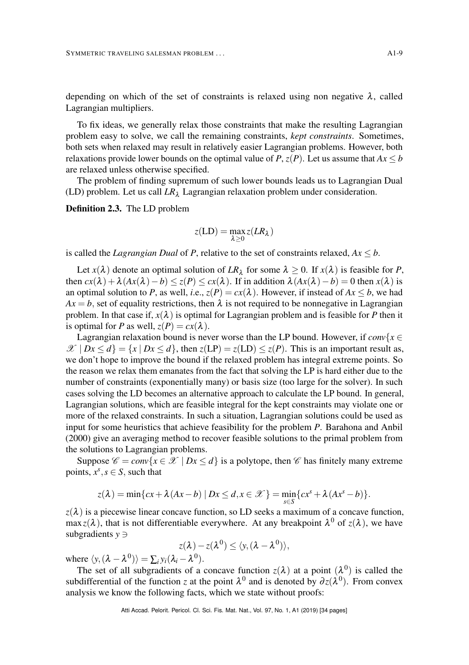depending on which of the set of constraints is relaxed using non negative  $\lambda$ , called Lagrangian multipliers.

To fix ideas, we generally relax those constraints that make the resulting Lagrangian problem easy to solve, we call the remaining constraints, *kept constraints*. Sometimes, both sets when relaxed may result in relatively easier Lagrangian problems. However, both relaxations provide lower bounds on the optimal value of *P*,  $z(P)$ . Let us assume that  $Ax \leq b$ are relaxed unless otherwise specified.

The problem of finding supremum of such lower bounds leads us to Lagrangian Dual (LD) problem. Let us call  $LR_{\lambda}$  Lagrangian relaxation problem under consideration.

Definition 2.3. The LD problem

$$
z(\text{LD}) = \max_{\lambda \geq 0} z(LR_{\lambda})
$$

is called the *Lagrangian Dual* of *P*, relative to the set of constraints relaxed,  $Ax \leq b$ .

Let  $x(\lambda)$  denote an optimal solution of  $LR_{\lambda}$  for some  $\lambda \ge 0$ . If  $x(\lambda)$  is feasible for *P*, then  $cx(\lambda) + \lambda (Ax(\lambda) - b) \leq z(P) \leq cx(\lambda)$ . If in addition  $\lambda (Ax(\lambda) - b) = 0$  then  $x(\lambda)$  is an optimal solution to *P*, as well, *i.e.*,  $z(P) = cx(\lambda)$ . However, if instead of  $Ax \leq b$ , we had  $Ax = b$ , set of equality restrictions, then  $\lambda$  is not required to be nonnegative in Lagrangian problem. In that case if,  $x(\lambda)$  is optimal for Lagrangian problem and is feasible for *P* then it is optimal for *P* as well,  $z(P) = cx(\lambda)$ .

Lagrangian relaxation bound is never worse than the LP bound. However, if  $conv{x \in \mathbb{R}^n}$  $\mathscr{X} \mid Dx \leq d$  = {*x* | *Dx*  $\leq d$  }, then  $z(LP) = z(LD) \leq z(P)$ . This is an important result as, we don't hope to improve the bound if the relaxed problem has integral extreme points. So the reason we relax them emanates from the fact that solving the LP is hard either due to the number of constraints (exponentially many) or basis size (too large for the solver). In such cases solving the LD becomes an alternative approach to calculate the LP bound. In general, Lagrangian solutions, which are feasible integral for the kept constraints may violate one or more of the relaxed constraints. In such a situation, Lagrangian solutions could be used as input for some heuristics that achieve feasibility for the problem *P*. Barahona and Anbil [\(2000\)](#page-30-14) give an averaging method to recover feasible solutions to the primal problem from the solutions to Lagrangian problems.

Suppose  $\mathscr{C} = \text{conv}\{x \in \mathscr{X} \mid Dx \leq d\}$  is a polytope, then  $\mathscr{C}$  has finitely many extreme points,  $x^s$ ,  $s \in S$ , such that

$$
z(\lambda) = \min\{cx + \lambda(Ax - b) \mid Dx \leq d, x \in \mathcal{X}\} = \min_{s \in S} \{cx^{s} + \lambda(Ax^{s} - b)\}.
$$

 $z(\lambda)$  is a piecewise linear concave function, so LD seeks a maximum of a concave function, max  $z(\lambda)$ , that is not differentiable everywhere. At any breakpoint  $\lambda^0$  of  $z(\lambda)$ , we have subgradients *y* ∋

$$
z(\lambda)-z(\lambda^0)\leq \langle y,(\lambda-\lambda^0)\rangle,
$$

where  $\langle y, (\lambda - \lambda^0) \rangle = \sum_i y_i (\lambda_i - \lambda^0)$ .

The set of all subgradients of a concave function  $z(\lambda)$  at a point  $(\lambda^0)$  is called the subdifferential of the function *z* at the point  $\lambda^0$  and is denoted by  $\partial z(\lambda^0)$ . From convex analysis we know the following facts, which we state without proofs: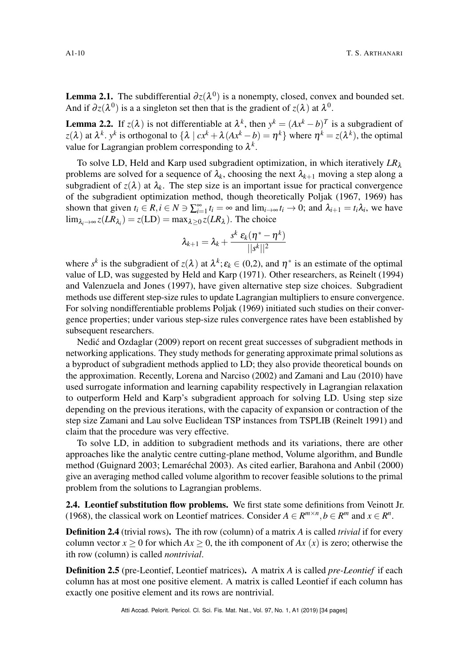**Lemma 2.1.** The subdifferential  $\partial z(\lambda^0)$  is a nonempty, closed, convex and bounded set. And if  $\partial z(\lambda^0)$  is a a singleton set then that is the gradient of  $z(\lambda)$  at  $\lambda^0$ .

**Lemma 2.2.** If  $z(\lambda)$  is not differentiable at  $\lambda^k$ , then  $y^k = (Ax^k - b)^T$  is a subgradient of  $z(\lambda)$  at  $\lambda^k$ . *y*<sup>k</sup> is orthogonal to  $\{\lambda \mid cx^k + \lambda(Ax^k - b) = \eta^k\}$  where  $\eta^k = z(\lambda^k)$ , the optimal value for Lagrangian problem corresponding to  $\lambda^k$ .

To solve LD, Held and Karp used subgradient optimization, in which iteratively *LR*<sup>λ</sup> problems are solved for a sequence of  $\lambda_k$ , choosing the next  $\lambda_{k+1}$  moving a step along a subgradient of  $z(\lambda)$  at  $\lambda_k$ . The step size is an important issue for practical convergence of the subgradient optimization method, though theoretically Poljak [\(1967,](#page-32-12) [1969\)](#page-33-9) has shown that given  $t_i \in R$ ,  $i \in N \ni \sum_{i=1}^{\infty} t_i = \infty$  and  $\lim_{i \to \infty} t_i \to 0$ ; and  $\lambda_{i+1} = t_i \lambda_i$ , we have  $\lim_{\lambda_i \to \infty} z(LR_{\lambda_i}) = z(\text{LD}) = \max_{\lambda \geq 0} z(LR_{\lambda}).$  The choice

$$
\lambda_{k+1} = \lambda_k + \frac{s^k \varepsilon_k (\boldsymbol{\eta}^* - \boldsymbol{\eta}^k)}{||s^k||^2}
$$

where  $s^k$  is the subgradient of  $z(\lambda)$  at  $\lambda^k$ ;  $\varepsilon_k \in (0,2)$ , and  $\eta^*$  is an estimate of the optimal value of LD, was suggested by Held and Karp [\(1971\)](#page-31-14). Other researchers, as Reinelt [\(1994\)](#page-33-10) and Valenzuela and Jones [\(1997\)](#page-33-8), have given alternative step size choices. Subgradient methods use different step-size rules to update Lagrangian multipliers to ensure convergence. For solving nondifferentiable problems Poljak [\(1969\)](#page-33-9) initiated such studies on their convergence properties; under various step-size rules convergence rates have been established by subsequent researchers.

Nedić and Ozdaglar ([2009\)](#page-32-13) report on recent great successes of subgradient methods in networking applications. They study methods for generating approximate primal solutions as a byproduct of subgradient methods applied to LD; they also provide theoretical bounds on the approximation. Recently, Lorena and Narciso [\(2002\)](#page-32-14) and Zamani and Lau [\(2010\)](#page-33-11) have used surrogate information and learning capability respectively in Lagrangian relaxation to outperform Held and Karp's subgradient approach for solving LD. Using step size depending on the previous iterations, with the capacity of expansion or contraction of the step size Zamani and Lau solve Euclidean TSP instances from TSPLIB (Reinelt [1991\)](#page-33-5) and claim that the procedure was very effective.

To solve LD, in addition to subgradient methods and its variations, there are other approaches like the analytic centre cutting-plane method, Volume algorithm, and Bundle method (Guignard [2003;](#page-31-12) Lemaréchal [2003\)](#page-32-15). As cited earlier, Barahona and Anbil [\(2000\)](#page-30-14) give an averaging method called volume algorithm to recover feasible solutions to the primal problem from the solutions to Lagrangian problems.

<span id="page-9-0"></span>2.4. Leontief substitution flow problems. We first state some definitions from Veinott Jr. [\(1968\)](#page-33-12), the classical work on Leontief matrices. Consider  $A \in \mathbb{R}^{m \times n}$ ,  $b \in \mathbb{R}^m$  and  $x \in \mathbb{R}^n$ .

<span id="page-9-1"></span>Definition 2.4 (trivial rows). The ith row (column) of a matrix *A* is called *trivial* if for every column vector  $x \ge 0$  for which  $Ax \ge 0$ , the ith component of  $Ax(x)$  is zero; otherwise the ith row (column) is called *nontrivial*.

Definition 2.5 (pre-Leontief, Leontief matrices). A matrix *A* is called *pre-Leontief* if each column has at most one positive element. A matrix is called Leontief if each column has exactly one positive element and its rows are nontrivial.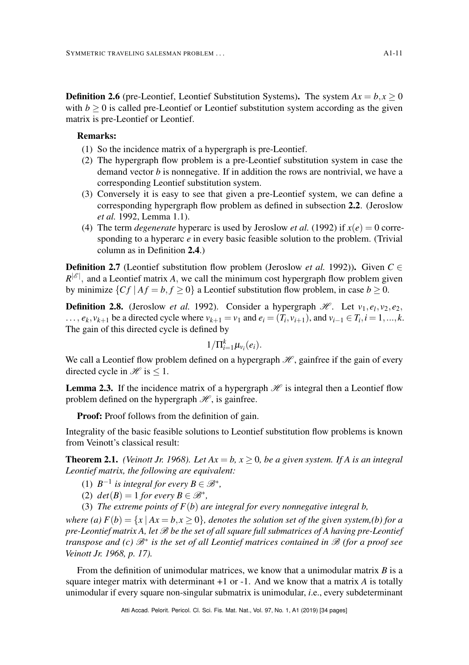**Definition 2.6** (pre-Leontief, Leontief Substitution Systems). The system  $Ax = b, x \ge 0$ with  $b \geq 0$  is called pre-Leontief or Leontief substitution system according as the given matrix is pre-Leontief or Leontief.

## Remarks:

- (1) So the incidence matrix of a hypergraph is pre-Leontief.
- (2) The hypergraph flow problem is a pre-Leontief substitution system in case the demand vector *b* is nonnegative. If in addition the rows are nontrivial, we have a corresponding Leontief substitution system.
- (3) Conversely it is easy to see that given a pre-Leontief system, we can define a corresponding hypergraph flow problem as defined in subsection [2.2](#page-6-0). (Jeroslow *et al.* [1992,](#page-32-8) Lemma 1.1).
- (4) The term *degenerate* hyperarc is used by Jeroslow *et al.* [\(1992\)](#page-32-8) if  $x(e) = 0$  corresponding to a hyperarc *e* in every basic feasible solution to the problem. (Trivial column as in Definition [2.4](#page-9-1).)

**Definition 2.7** (Leontief substitution flow problem (Jeroslow *et al.* [1992\)](#page-32-8)). Given  $C \in$  $R^{|\mathscr{E}|}$ , and a Leontief matrix *A*, we call the minimum cost hypergraph flow problem given by minimize  $\{C_f \mid Af = b, f \ge 0\}$  a Leontief substitution flow problem, in case  $b \ge 0$ .

**Definition 2.8.** (Jeroslow *et al.* [1992\)](#page-32-8). Consider a hypergraph  $\mathcal{H}$ . Let  $v_1, e_1, v_2, e_2$ ,  $\dots, e_k, v_{k+1}$  be a directed cycle where  $v_{k+1} = v_1$  and  $e_i = (T_i, v_{i+1})$ , and  $v_{i-1} \in T_i$ ,  $i = 1, ..., k$ . The gain of this directed cycle is defined by

$$
1/\Pi_{i=1}^k\mu_{v_i}(e_i).
$$

We call a Leontief flow problem defined on a hypergraph  $\mathcal{H}$ , gainfree if the gain of every directed cycle in  $\mathcal{H}$  is  $\leq 1$ .

**Lemma 2.3.** If the incidence matrix of a hypergraph  $\mathcal{H}$  is integral then a Leontief flow problem defined on the hypergraph  $\mathcal{H}$ , is gainfree.

Proof: Proof follows from the definition of gain.

Integrality of the basic feasible solutions to Leontief substitution flow problems is known from Veinott's classical result:

<span id="page-10-0"></span>**Theorem 2.1.** *(Veinott Jr. [1968\)](#page-33-12). Let*  $Ax = b$ ,  $x \ge 0$ *, be a given system. If A is an integral Leontief matrix, the following are equivalent:*

- (1)  $B^{-1}$  *is integral for every*  $B \in \mathcal{B}^*$ ,
- (2)  $det(B) = 1$  *for every*  $B \in \mathcal{B}^*$ ,
- (3) *The extreme points of F*(*b*) *are integral for every nonnegative integral b,*

*where (a)*  $F(b) = \{x \mid Ax = b, x \ge 0\}$ , denotes the solution set of the given system,(b) for a *pre-Leontief matrix A, let* B *be the set of all square full submatrices of A having pre-Leontief transpose and (c)*  $\mathscr{B}^*$  *is the set of all Leontief matrices contained in*  $\mathscr{B}$  *(for a proof see Veinott Jr. [1968,](#page-33-12) p. 17).*

From the definition of unimodular matrices, we know that a unimodular matrix *B* is a square integer matrix with determinant  $+1$  or  $-1$ . And we know that a matrix A is totally unimodular if every square non-singular submatrix is unimodular, *i*.e., every subdeterminant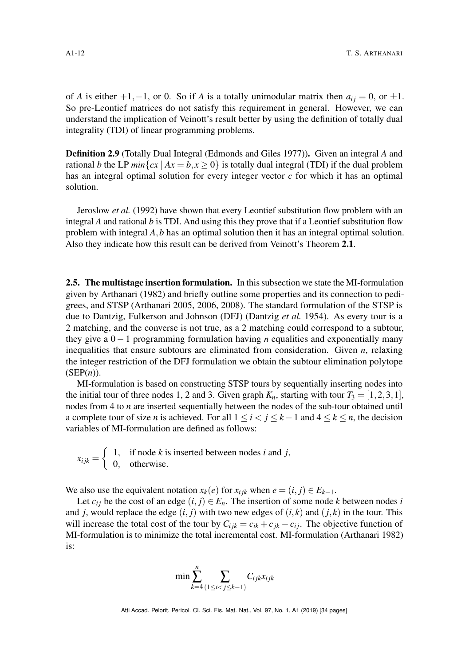of *A* is either  $+1, -1$ , or 0. So if *A* is a totally unimodular matrix then  $a_{ij} = 0$ , or  $\pm 1$ . So pre-Leontief matrices do not satisfy this requirement in general. However, we can understand the implication of Veinott's result better by using the definition of totally dual integrality (TDI) of linear programming problems.

Definition 2.9 (Totally Dual Integral (Edmonds and Giles [1977\)](#page-31-16)). Given an integral *A* and rational *b* the LP  $min\{cx \mid Ax = b, x \ge 0\}$  is totally dual integral (TDI) if the dual problem has an integral optimal solution for every integer vector *c* for which it has an optimal solution.

Jeroslow *et al.* [\(1992\)](#page-32-8) have shown that every Leontief substitution flow problem with an integral *A* and rational *b* is TDI. And using this they prove that if a Leontief substitution flow problem with integral *A*,*b* has an optimal solution then it has an integral optimal solution. Also they indicate how this result can be derived from Veinott's Theorem [2.1](#page-10-0).

<span id="page-11-0"></span>2.5. The multistage insertion formulation. In this subsection we state the MI-formulation given by Arthanari [\(1982\)](#page-30-5) and briefly outline some properties and its connection to pedigrees, and STSP (Arthanari [2005,](#page-30-8) [2006,](#page-30-9) [2008\)](#page-30-10). The standard formulation of the STSP is due to Dantzig, Fulkerson and Johnson (DFJ) (Dantzig *et al.* [1954\)](#page-30-2). As every tour is a 2 matching, and the converse is not true, as a 2 matching could correspond to a subtour, they give a 0−1 programming formulation having *n* equalities and exponentially many inequalities that ensure subtours are eliminated from consideration. Given *n*, relaxing the integer restriction of the DFJ formulation we obtain the subtour elimination polytope (SEP(*n*)).

MI-formulation is based on constructing STSP tours by sequentially inserting nodes into the initial tour of three nodes 1, 2 and 3. Given graph  $K_n$ , starting with tour  $T_3 = [1,2,3,1]$ , nodes from 4 to *n* are inserted sequentially between the nodes of the sub-tour obtained until a complete tour of size *n* is achieved. For all  $1 \le i < j \le k - 1$  and  $4 \le k \le n$ , the decision variables of MI-formulation are defined as follows:

 $x_{ijk} = \begin{cases} 1, & \text{if node } k \text{ is inserted between nodes } i \text{ and } j, \\ 0, & \text{otherwise} \end{cases}$ 0, otherwise.

We also use the equivalent notation  $x_k(e)$  for  $x_{ijk}$  when  $e = (i, j) \in E_{k-1}$ .

Let  $c_{ij}$  be the cost of an edge  $(i, j) \in E_n$ . The insertion of some node *k* between nodes *i* and *j*, would replace the edge  $(i, j)$  with two new edges of  $(i, k)$  and  $(j, k)$  in the tour. This will increase the total cost of the tour by  $C_{ijk} = c_{ik} + c_{jk} - c_{ij}$ . The objective function of MI-formulation is to minimize the total incremental cost. MI-formulation (Arthanari [1982\)](#page-30-5) is:

$$
\min \sum_{k=4}^{n} \sum_{(1 \leq i < j \leq k-1)} C_{ijk} x_{ijk}
$$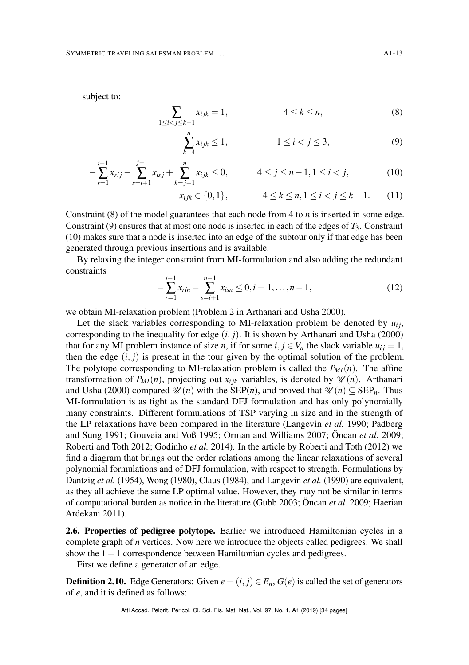subject to:

<span id="page-12-1"></span>
$$
\sum_{1 \le i < j \le k-1} x_{ijk} = 1, \qquad \qquad 4 \le k \le n,\tag{8}
$$

$$
\sum_{k=4}^{n} x_{ijk} \le 1, \qquad \qquad 1 \le i < j \le 3, \tag{9}
$$

$$
-\sum_{r=1}^{i-1} x_{rij} - \sum_{s=i+1}^{j-1} x_{isj} + \sum_{k=j+1}^{n} x_{ijk} \le 0, \qquad 4 \le j \le n-1, 1 \le i < j,
$$
 (10)

$$
x_{ijk} \in \{0, 1\}, \qquad \qquad 4 \le k \le n, 1 \le i < j \le k - 1. \tag{11}
$$

Constraint [\(8\)](#page-12-1) of the model guarantees that each node from 4 to *n* is inserted in some edge. Constraint [\(9\)](#page-12-1) ensures that at most one node is inserted in each of the edges of *T*3. Constraint [\(10\)](#page-12-1) makes sure that a node is inserted into an edge of the subtour only if that edge has been generated through previous insertions and is available.

<span id="page-12-2"></span>By relaxing the integer constraint from MI-formulation and also adding the redundant constraints

$$
-\sum_{r=1}^{i-1} x_{rin} - \sum_{s=i+1}^{n-1} x_{isn} \le 0, i = 1, \dots, n-1,
$$
\n(12)

we obtain MI-relaxation problem (Problem 2 in Arthanari and Usha [2000\)](#page-30-15).

Let the slack variables corresponding to MI-relaxation problem be denoted by  $u_{ij}$ , corresponding to the inequality for edge  $(i, j)$ . It is shown by Arthanari and Usha [\(2000\)](#page-30-15) that for any MI problem instance of size *n*, if for some  $i, j \in V_n$  the slack variable  $u_{ij} = 1$ , then the edge  $(i, j)$  is present in the tour given by the optimal solution of the problem. The polytope corresponding to MI-relaxation problem is called the  $P_{MI}(n)$ . The affine transformation of  $P_{MI}(n)$ , projecting out  $x_{ijk}$  variables, is denoted by  $\mathcal{U}(n)$ . Arthanari and Usha [\(2000\)](#page-30-15) compared  $\mathcal{U}(n)$  with the SEP(*n*), and proved that  $\mathcal{U}(n) \subseteq$  SEP<sub>*n*</sub>. Thus MI-formulation is as tight as the standard DFJ formulation and has only polynomially many constraints. Different formulations of TSP varying in size and in the strength of the LP relaxations have been compared in the literature (Langevin *et al.* [1990;](#page-32-5) Padberg and Sung [1991;](#page-32-9) Gouveia and Voß [1995;](#page-31-2) Orman and Williams [2007;](#page-32-10) Öncan *et al.* [2009;](#page-32-6) Roberti and Toth [2012;](#page-33-6) Godinho *et al.* [2014\)](#page-31-3). In the article by Roberti and Toth [\(2012\)](#page-33-6) we find a diagram that brings out the order relations among the linear relaxations of several polynomial formulations and of DFJ formulation, with respect to strength. Formulations by Dantzig *et al.* [\(1954\)](#page-30-2), Wong [\(1980\)](#page-33-1), Claus [\(1984\)](#page-30-4), and Langevin *et al.* [\(1990\)](#page-32-5) are equivalent, as they all achieve the same LP optimal value. However, they may not be similar in terms of computational burden as notice in the literature (Gubb [2003;](#page-31-6) Öncan *et al.* [2009;](#page-32-6) Haerian Ardekani [2011\)](#page-31-5).

<span id="page-12-0"></span>2.6. Properties of pedigree polytope. Earlier we introduced Hamiltonian cycles in a complete graph of *n* vertices. Now here we introduce the objects called pedigrees. We shall show the 1−1 correspondence between Hamiltonian cycles and pedigrees.

First we define a generator of an edge.

**Definition 2.10.** Edge Generators: Given  $e = (i, j) \in E_n$ ,  $G(e)$  is called the set of generators of *e*, and it is defined as follows: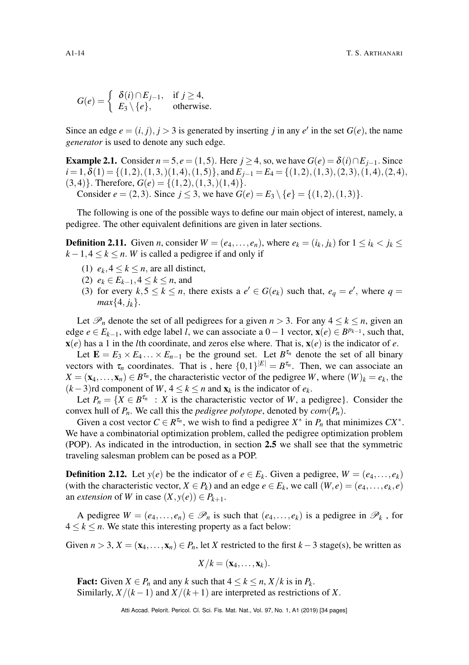$$
G(e) = \begin{cases} \delta(i) \cap E_{j-1}, & \text{if } j \ge 4, \\ E_3 \setminus \{e\}, & \text{otherwise.} \end{cases}
$$

Since an edge  $e = (i, j), j > 3$  is generated by inserting *j* in any  $e'$  in the set  $G(e)$ , the name *generator* is used to denote any such edge.

**Example 2.1.** Consider  $n = 5, e = (1, 5)$ . Here  $j \ge 4$ , so, we have  $G(e) = \delta(i) \cap E_{i-1}$ . Since  $i=1, \delta(1) = \{(1,2), (1,3), (1,4), (1,5)\},$  and  $E_{i-1} = E_4 = \{(1,2), (1,3), (2,3), (1,4), (2,4),\}$  $(3,4)$ . Therefore,  $G(e) = \{(1,2), (1,3), (1,4)\}.$ 

Consider  $e = (2,3)$ . Since  $j \le 3$ , we have  $G(e) = E_3 \setminus \{e\} = \{(1,2), (1,3)\}.$ 

The following is one of the possible ways to define our main object of interest, namely, a pedigree. The other equivalent definitions are given in later sections.

<span id="page-13-0"></span>**Definition 2.11.** Given *n*, consider  $W = (e_4, \ldots, e_n)$ , where  $e_k = (i_k, j_k)$  for  $1 \le i_k < j_k \le$  $k-1, 4 \leq k \leq n$ . *W* is called a pedigree if and only if

- (1)  $e_k$ ,  $4 \le k \le n$ , are all distinct,
- (2)  $e_k$  ∈  $E_{k-1}$ , 4 ≤  $k$  ≤ *n*, and
- (3) for every  $k, 5 \le k \le n$ , there exists a  $e' \in G(e_k)$  such that,  $e_q = e'$ , where  $q =$ *max* $\{4, j_k\}.$

Let  $\mathcal{P}_n$  denote the set of all pedigrees for a given  $n > 3$ . For any  $4 \leq k \leq n$ , given an edge *e* ∈ *E*<sub>*k*−1</sub>, with edge label *l*, we can associate a 0 − 1 vector,  $\mathbf{x}(e) \in B^{p_{k-1}}$ , such that,  $\mathbf{x}(e)$  has a 1 in the *l*th coordinate, and zeros else where. That is,  $\mathbf{x}(e)$  is the indicator of *e*.

Let  $\mathbf{E} = E_3 \times E_4 \dots \times E_{n-1}$  be the ground set. Let  $B^{\tau_n}$  denote the set of all binary vectors with  $\tau_n$  coordinates. That is, here  $\{0,1\}^{|E|} = B^{\tau_n}$ . Then, we can associate an  $X = (\mathbf{x}_4, \dots, \mathbf{x}_n) \in B^{\tau_n}$ , the characteristic vector of the pedigree *W*, where  $(W)_k = e_k$ , the  $(k-3)$ rd component of *W*,  $4 \le k \le n$  and  $\mathbf{x}_k$  is the indicator of  $e_k$ .

Let  $P_n = \{X \in B^{\tau_n} : X \text{ is the characteristic vector of } W, \text{ a pedigree}\}.$  Consider the convex hull of  $P_n$ . We call this the *pedigree polytope*, denoted by  $conv(P_n)$ .

Given a cost vector  $C \in \mathbb{R}^{\tau_n}$ , we wish to find a pedigree  $X^*$  in  $P_n$  that minimizes  $CX^*$ . We have a combinatorial optimization problem, called the pedigree optimization problem (POP). As indicated in the introduction, in section [2.5](#page-11-0) we shall see that the symmetric traveling salesman problem can be posed as a POP.

**Definition 2.12.** Let  $y(e)$  be the indicator of  $e \in E_k$ . Given a pedigree,  $W = (e_4, \ldots, e_k)$ (with the characteristic vector,  $X \in P_k$ ) and an edge  $e \in E_k$ , we call  $(W, e) = (e_4, \ldots, e_k, e)$ an *extension* of *W* in case  $(X, y(e)) \in P_{k+1}$ .

A pedigree  $W = (e_4, \ldots, e_n) \in \mathcal{P}_n$  is such that  $(e_4, \ldots, e_k)$  is a pedigree in  $\mathcal{P}_k$ , for  $4 \leq k \leq n$ . We state this interesting property as a fact below:

Given  $n > 3$ ,  $X = (\mathbf{x}_4, ..., \mathbf{x}_n) \in P_n$ , let *X* restricted to the first  $k - 3$  stage(s), be written as

$$
X/k = (\mathbf{x}_4,\ldots,\mathbf{x}_k).
$$

Fact: Given  $X \in P_n$  and any  $k$  such that  $4 \leq k \leq n$ ,  $X/k$  is in  $P_k$ . Similarly,  $X/(k-1)$  and  $X/(k+1)$  are interpreted as restrictions of X.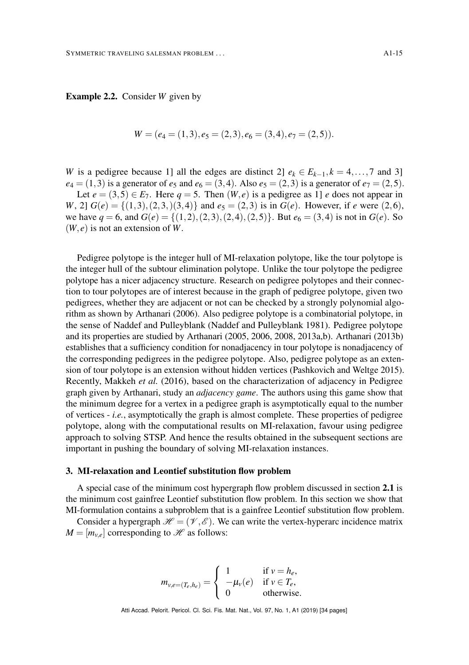Example 2.2. Consider *W* given by

$$
W = (e_4 = (1,3), e_5 = (2,3), e_6 = (3,4), e_7 = (2,5)).
$$

*W* is a pedigree because 1] all the edges are distinct 2]  $e_k \in E_{k-1}, k = 4, \ldots, 7$  and 3]  $e_4 = (1,3)$  is a generator of  $e_5$  and  $e_6 = (3,4)$ . Also  $e_5 = (2,3)$  is a generator of  $e_7 = (2,5)$ .

Let  $e = (3,5) \in E_7$ . Here  $q = 5$ . Then  $(W, e)$  is a pedigree as 1] *e* does not appear in *W*, 2]  $G(e) = \{(1,3),(2,3),(3,4)\}$  and  $e_5 = (2,3)$  is in  $G(e)$ . However, if *e* were  $(2,6)$ , we have  $q = 6$ , and  $G(e) = \{(1,2), (2,3), (2,4), (2,5)\}$ . But  $e_6 = (3,4)$  is not in  $G(e)$ . So  $(W, e)$  is not an extension of W.

Pedigree polytope is the integer hull of MI-relaxation polytope, like the tour polytope is the integer hull of the subtour elimination polytope. Unlike the tour polytope the pedigree polytope has a nicer adjacency structure. Research on pedigree polytopes and their connection to tour polytopes are of interest because in the graph of pedigree polytope, given two pedigrees, whether they are adjacent or not can be checked by a strongly polynomial algorithm as shown by Arthanari [\(2006\)](#page-30-9). Also pedigree polytope is a combinatorial polytope, in the sense of Naddef and Pulleyblank (Naddef and Pulleyblank [1981\)](#page-32-16). Pedigree polytope and its properties are studied by Arthanari [\(2005,](#page-30-8) [2006,](#page-30-9) [2008,](#page-30-10) [2013a](#page-30-16)[,b\)](#page-30-17). Arthanari [\(2013b\)](#page-30-17) establishes that a sufficiency condition for nonadjacency in tour polytope is nonadjacency of the corresponding pedigrees in the pedigree polytope. Also, pedigree polytope as an extension of tour polytope is an extension without hidden vertices (Pashkovich and Weltge [2015\)](#page-32-17). Recently, Makkeh *et al.* [\(2016\)](#page-32-18), based on the characterization of adjacency in Pedigree graph given by Arthanari, study an *adjacency game*. The authors using this game show that the minimum degree for a vertex in a pedigree graph is asymptotically equal to the number of vertices - *i.e.*, asymptotically the graph is almost complete. These properties of pedigree polytope, along with the computational results on MI-relaxation, favour using pedigree approach to solving STSP. And hence the results obtained in the subsequent sections are important in pushing the boundary of solving MI-relaxation instances.

#### <span id="page-14-0"></span>3. MI-relaxation and Leontief substitution flow problem

A special case of the minimum cost hypergraph flow problem discussed in section [2.1](#page-6-4) is the minimum cost gainfree Leontief substitution flow problem. In this section we show that MI-formulation contains a subproblem that is a gainfree Leontief substitution flow problem.

Consider a hypergraph  $\mathcal{H} = (\mathcal{V}, \mathcal{E})$ . We can write the vertex-hyperarc incidence matrix  $M = [m_{v,e}]$  corresponding to  $\mathcal{H}$  as follows:

$$
m_{v,e=(T_e,h_e)} = \begin{cases} 1 & \text{if } v = h_e, \\ -\mu_v(e) & \text{if } v \in T_e, \\ 0 & \text{otherwise.} \end{cases}
$$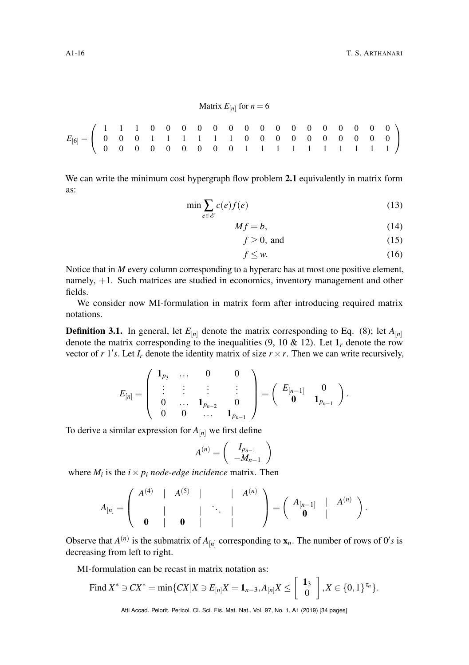We can write the minimum cost hypergraph flow problem [2.1](#page-6-4) equivalently in matrix form as:

$$
\min \sum_{e \in \mathcal{E}} c(e)f(e) \tag{13}
$$

 $Mf = b,$  (14)

$$
f \ge 0, \text{ and } (15)
$$

$$
f \leq w. \tag{16}
$$

Notice that in *M* every column corresponding to a hyperarc has at most one positive element, namely, +1. Such matrices are studied in economics, inventory management and other fields.

We consider now MI-formulation in matrix form after introducing required matrix notations.

<span id="page-15-0"></span>**Definition 3.1.** In general, let  $E_{[n]}$  denote the matrix corresponding to Eq. [\(8\)](#page-12-1); let  $A_{[n]}$ denote the matrix corresponding to the inequalities [\(9,](#page-12-1) [10](#page-12-1) & [12\)](#page-12-2). Let  $\mathbf{1}_r$  denote the row vector of  $r$  1's. Let  $I_r$  denote the identity matrix of size  $r \times r$ . Then we can write recursively,

$$
E_{[n]} = \left( \begin{array}{cccc} \mathbf{1}_{p_3} & \ldots & 0 & 0 \\ \vdots & \vdots & \vdots & \vdots \\ 0 & \ldots & \mathbf{1}_{p_{n-2}} & 0 \\ 0 & 0 & \ldots & \mathbf{1}_{p_{n-1}} \end{array} \right) = \left( \begin{array}{cccc} E_{[n-1]} & 0 \\ \mathbf{0} & \mathbf{1}_{p_{n-1}} \end{array} \right).
$$

To derive a similar expression for  $A_{[n]}$  we first define

$$
A^{(n)} = \left(\begin{array}{c} I_{p_{n-1}} \\ -M_{n-1} \end{array}\right)
$$

where  $M_i$  is the  $i \times p_i$  node-edge incidence matrix. Then

$$
A_{[n]} = \left( \begin{array}{cccc} A^{(4)} & | & A^{(5)} & | & & | & A^{(n)} \\ & | & & | & \ddots & | \\ \hline \bm{0} & | & \bm{0} & | & & \end{array} \right) = \left( \begin{array}{cccc} A_{[n-1]} & | & A^{(n)} \\ \hline \bm{0} & | & & \end{array} \right).
$$

Observe that  $A^{(n)}$  is the submatrix of  $A_{[n]}$  corresponding to  $\mathbf{x}_n$ . The number of rows of  $0's$  is decreasing from left to right.

MI-formulation can be recast in matrix notation as:

Find 
$$
X^* \ni CX^* = \min\{CX|X \ni E_{[n]}X = \mathbf{1}_{n-3}, A_{[n]}X \le \begin{bmatrix} \mathbf{1}_3 \\ 0 \end{bmatrix}, X \in \{0,1\}^{\tau_n}\}.
$$

Atti Accad. Pelorit. Pericol. Cl. Sci. Fis. Mat. Nat., Vol. 97, No. 1, A1 (2019) [\[34](#page-33-2) pages]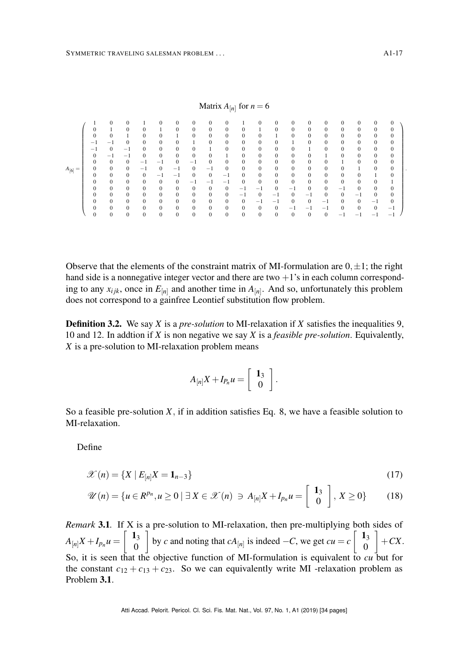|             |              |                  |              |              |              |              |              |              |              |              | Matrix $A_{[n]}$ for $n = 6$ |              |              |              |                |                          |                          |              |              |  |
|-------------|--------------|------------------|--------------|--------------|--------------|--------------|--------------|--------------|--------------|--------------|------------------------------|--------------|--------------|--------------|----------------|--------------------------|--------------------------|--------------|--------------|--|
|             |              | $\mathbf{0}$     |              |              | $\mathbf{0}$ | $\mathbf{0}$ | $\mathbf{0}$ |              | 0            |              | $\mathbf{0}$                 | $\mathbf{0}$ | 0            | $\mathbf{0}$ | 0              | $\mathbf{0}$             | $\mathbf{0}$             | 0            | $\mathbf{0}$ |  |
|             | $\mathbf{0}$ |                  | $\mathbf{0}$ | $\mathbf{0}$ |              | $\mathbf{0}$ | $\mathbf{0}$ | $\mathbf{0}$ | $\bf{0}$     | 0            |                              | $\mathbf{0}$ | $\mathbf{0}$ | $\mathbf{0}$ | $\mathbf{0}$   | $\mathbf{0}$             | $\mathbf{0}$             | 0            | $\mathbf{0}$ |  |
|             | 0            | $\mathbf{0}$     |              | $\mathbf{0}$ | $\mathbf{0}$ |              | $\mathbf{0}$ | $\mathbf{0}$ | $\mathbf{0}$ | $\mathbf{0}$ | $\mathbf{0}$                 |              | $\mathbf{0}$ | $\mathbf{0}$ | $\mathbf{0}$   | $\mathbf{0}$             | $\mathbf{0}$             | $\mathbf{0}$ | $\mathbf{0}$ |  |
|             | $\sim$       | -                |              | $\mathbf{0}$ | $\mathbf{0}$ | $\mathbf{0}$ |              | 0            | $\mathbf{0}$ | $\mathbf{0}$ | $\mathbf{0}$                 | $\mathbf{0}$ |              | $\mathbf{0}$ | $\mathbf{0}$   | $\mathbf{0}$             | $\mathbf{0}$             | $\mathbf{0}$ | $\mathbf{0}$ |  |
|             | $-1$         | $\mathbf{0}$     | $^{-1}$      | $\mathbf{0}$ | $\mathbf{0}$ | $\mathbf{0}$ | $\mathbf{0}$ |              | $\bf{0}$     | 0            | $\mathbf{0}$                 | $\mathbf{0}$ | 0            |              | $\mathbf{0}$   | $\mathbf{0}$             | $\mathbf{0}$             | $\mathbf{0}$ | $\mathbf{0}$ |  |
|             | $\mathbf{0}$ | $^{-1}$          | $^{-1}$      | $\mathbf{0}$ | $\mathbf{0}$ | $\mathbf{0}$ | $\mathbf{0}$ | $\mathbf{0}$ |              | 0            | $\mathbf{0}$                 | $\mathbf{0}$ | 0            | $\mathbf{0}$ |                | $\mathbf{0}$             | $\mathbf{0}$             | 0            | $\mathbf{0}$ |  |
|             | $\mathbf{0}$ | $\mathbf{0}$     | $\mathbf{0}$ | $-1$         | - 1          | $\mathbf{0}$ | $^{-1}$      | $\mathbf{0}$ | $\bf{0}$     | 0            | $\mathbf{0}$                 | $\mathbf{0}$ | 0            | $\mathbf{0}$ | 0              |                          | $\mathbf{0}$             | 0            | $\mathbf{0}$ |  |
| $A_{[6]} =$ | $\mathbf{0}$ | $\mathbf{0}$     | $\mathbf{0}$ | $-1$         | $\mathbf{0}$ | - 1          | $\mathbf{0}$ | -1           | $\bf{0}$     | 0            | $\mathbf{0}$                 | $\mathbf{0}$ | 0            | $\mathbf{0}$ | $\mathbf{0}$   | $\mathbf{0}$             |                          | $\mathbf{0}$ | $\mathbf{0}$ |  |
|             | $\mathbf{0}$ | $\mathbf{0}$     | $\Omega$     | $\Omega$     | - 1          | $-1$         | $\Omega$     | $\mathbf{0}$ | - 1          | $\Omega$     | $\mathbf{0}$                 | $\mathbf{0}$ | 0            | $\mathbf{0}$ | $\mathbf{0}$   | $\mathbf{0}$             | $\mathbf{0}$             |              | $\mathbf{0}$ |  |
|             | $\mathbf{0}$ | $\boldsymbol{0}$ | $\mathbf{0}$ | $\mathbf{0}$ | $\mathbf{0}$ | $\mathbf{0}$ | - 1          | -            | -            |              | $\mathbf{0}$                 | 0            | $\mathbf{0}$ | $\mathbf{0}$ | $\mathbf{0}$   | $\mathbf{0}$             | 0                        | $\mathbf{0}$ |              |  |
|             | $\mathbf{0}$ | $\mathbf{0}$     | $\mathbf{0}$ | $\mathbf{0}$ | $\mathbf{0}$ | $\mathbf{0}$ | $\mathbf{0}$ | $\mathbf{0}$ | $\bf{0}$     | -            | $-1$                         | $\mathbf{0}$ | $-1$         | $\mathbf{0}$ | $\overline{0}$ | - 1                      | $\mathbf{0}$             | $\mathbf{0}$ | $\mathbf{0}$ |  |
|             | $\mathbf{0}$ | $\mathbf{0}$     | $\mathbf{0}$ | $\mathbf{0}$ | $\mathbf{0}$ | $\mathbf{0}$ | $\mathbf{0}$ | $\mathbf{0}$ | $\mathbf{0}$ | - 1          | $\mathbf{0}$                 | $-1$         | $\mathbf{0}$ | - 1          | $\mathbf{0}$   | $\mathbf{0}$             | $^{-1}$                  | $\mathbf{0}$ | $\mathbf{0}$ |  |
|             | $\mathbf{0}$ | $\mathbf{0}$     | $\mathbf{0}$ | $\mathbf{0}$ | $\mathbf{0}$ | $\mathbf{0}$ | $\mathbf{0}$ | $\mathbf{0}$ | $\bf{0}$     | 0            | $-$                          | -1           | $\mathbf{0}$ | $\mathbf{0}$ | - 1            | $\mathbf{0}$             | $\mathbf{0}$             | $^{-1}$      | $\mathbf{0}$ |  |
|             | $\mathbf{0}$ | $\mathbf{0}$     | $\mathbf{0}$ | $\mathbf{0}$ | $\mathbf{0}$ | $\mathbf{0}$ | $\mathbf{0}$ | $\mathbf{0}$ | $\bf{0}$     | 0            | $\mathbf{0}$                 | $\mathbf{0}$ | $-1$         | $-1$         | $-1$           | $\mathbf{0}$             | $\mathbf{0}$             | $\mathbf{0}$ | $^{-1}$      |  |
|             | $\mathbf{0}$ | $\mathbf{0}$     | $\mathbf{0}$ | $\mathbf{0}$ | $\mathbf{0}$ | $\mathbf{0}$ | $\mathbf{0}$ | $\mathbf{0}$ | $\mathbf{0}$ | $\mathbf{0}$ | $\mathbf{0}$                 | $\mathbf{0}$ | $\mathbf{0}$ | $\mathbf{0}$ | 0              | $\overline{\phantom{a}}$ | $\overline{\phantom{a}}$ | -            | -            |  |

Observe that the elements of the constraint matrix of MI-formulation are  $0, \pm 1$ ; the right hand side is a nonnegative integer vector and there are two  $+1$ 's in each column corresponding to any  $x_{ijk}$ , once in  $E_{[n]}$  and another time in  $A_{[n]}$ . And so, unfortunately this problem does not correspond to a gainfree Leontief substitution flow problem.

Definition 3.2. We say *X* is a *pre-solution* to MI-relaxation if *X* satisfies the inequalities [9,](#page-12-1) [10](#page-12-1) and [12.](#page-12-2) In addtion if *X* is non negative we say *X* is a *feasible pre-solution*. Equivalently, *X* is a pre-solution to MI-relaxation problem means

$$
A_{[n]}X+I_{P_n}u=\left[\begin{array}{c} \mathbf{1}_3\\ 0 \end{array}\right].
$$

So a feasible pre-solution *X*, if in addition satisfies Eq. [8,](#page-12-1) we have a feasible solution to MI-relaxation.

Define

$$
\mathcal{X}(n) = \{ X \mid E_{[n]} X = \mathbf{1}_{n-3} \}
$$
\n
$$
(17)
$$

$$
\mathscr{U}(n) = \{u \in \mathbb{R}^{p_n}, u \ge 0 \mid \exists X \in \mathscr{X}(n) \ni A_{[n]}X + I_{p_n}u = \left[\begin{array}{c} 1_3\\ 0 \end{array}\right], X \ge 0\}
$$
(18)

*Remark* 3.1*.* If X is a pre-solution to MI-relaxation, then pre-multiplying both sides of  $A_{[n]}X + I_{p_n}u = \begin{bmatrix} 1 & 1 \\ 0 & 1 \end{bmatrix}$ 0 by *c* and noting that  $cA_{[n]}$  is indeed  $-C$ , we get  $cu = c \begin{bmatrix} 1 & 1 \\ 0 & 1 \end{bmatrix}$ 0  $\Big] + CX.$ So, it is seen that the objective function of MI-formulation is equivalent to *cu* but for the constant  $c_{12} + c_{13} + c_{23}$ . So we can equivalently write MI -relaxation problem as Problem [3.1](#page-17-1).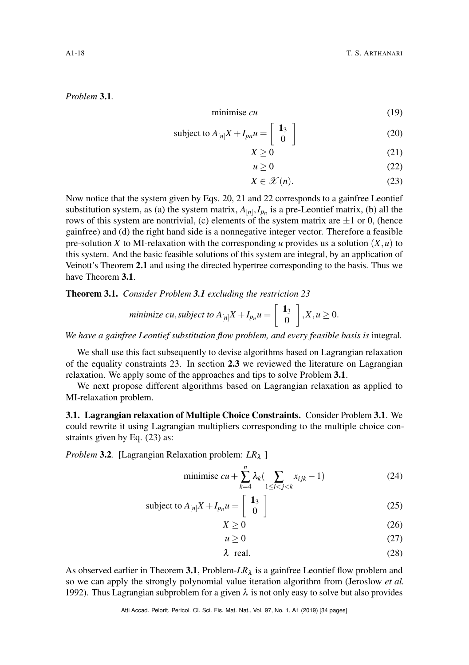## <span id="page-17-1"></span>*Problem* 3.1*.*

$$
minimise cu
$$
 (19)

subject to 
$$
A_{[n]}X + I_{pn}u = \begin{bmatrix} 1_3 \\ 0 \end{bmatrix}
$$
 (20)

<span id="page-17-2"></span>
$$
X \ge 0\tag{21}
$$

<span id="page-17-6"></span><span id="page-17-4"></span><span id="page-17-3"></span>
$$
u \ge 0 \tag{22}
$$

$$
X \in \mathcal{X}(n). \tag{23}
$$

Now notice that the system given by Eqs. [20,](#page-17-2) [21](#page-17-3) and [22](#page-17-4) corresponds to a gainfree Leontief substitution system, as (a) the system matrix,  $A_{[n]}, I_{p_n}$  is a pre-Leontief matrix, (b) all the rows of this system are nontrivial, (c) elements of the system matrix are  $\pm 1$  or 0, (hence gainfree) and (d) the right hand side is a nonnegative integer vector. Therefore a feasible pre-solution *X* to MI-relaxation with the corresponding *u* provides us a solution  $(X, u)$  to this system. And the basic feasible solutions of this system are integral, by an application of Veinott's Theorem [2.1](#page-10-0) and using the directed hypertree corresponding to the basis. Thus we have Theorem [3.1](#page-17-5).

<span id="page-17-5"></span>Theorem 3.1. *Consider Problem [3.1](#page-17-1) excluding the restriction [23](#page-17-6)*

$$
minimize \; cu, subject \; to \; A_{[n]}X + I_{p_n}u = \left[\begin{array}{c} 1_3 \\ 0 \end{array}\right], X, u \geq 0.
$$

We have a gainfree Leontief substitution flow problem, and every feasible basis is integral.

We shall use this fact subsequently to devise algorithms based on Lagrangian relaxation of the equality constraints [23.](#page-17-6) In section [2.3](#page-7-0) we reviewed the literature on Lagrangian relaxation. We apply some of the approaches and tips to solve Problem [3.1](#page-17-1).

We next propose different algorithms based on Lagrangian relaxation as applied to MI-relaxation problem.

<span id="page-17-0"></span>3.1. Lagrangian relaxation of Multiple Choice Constraints. Consider Problem [3.1](#page-17-1). We could rewrite it using Lagrangian multipliers corresponding to the multiple choice constraints given by Eq. [\(23\)](#page-17-6) as:

<span id="page-17-7"></span>*Problem* 3.2. [Lagrangian Relaxation problem: *LR*<sub>λ</sub>]

minimise 
$$
cu + \sum_{k=4}^{n} \lambda_k \left( \sum_{1 \le i < j < k} x_{ijk} - 1 \right)
$$
 (24)

subject to 
$$
A_{[n]}X + I_{p_n}u = \begin{bmatrix} 1_3 \\ 0 \end{bmatrix}
$$
 (25)

<span id="page-17-8"></span>
$$
X \ge 0 \tag{26}
$$

$$
u \ge 0 \tag{27}
$$

 $\lambda$  real. (28)

As observed earlier in Theorem [3.1](#page-17-5), Problem- $LR_{\lambda}$  is a gainfree Leontief flow problem and so we can apply the strongly polynomial value iteration algorithm from (Jeroslow *et al.* [1992\)](#page-32-8). Thus Lagrangian subproblem for a given  $\lambda$  is not only easy to solve but also provides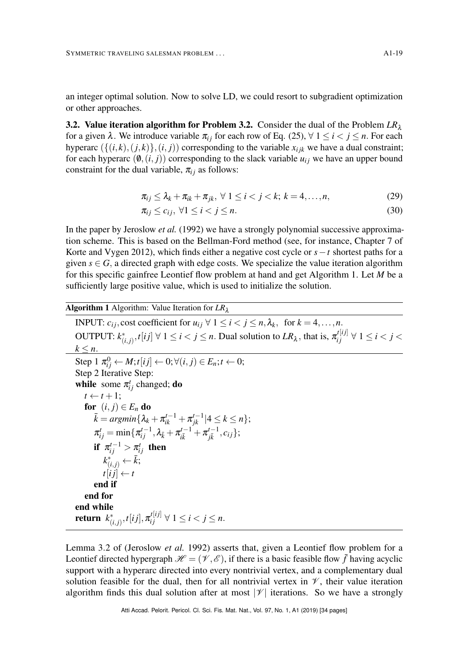an integer optimal solution. Now to solve LD, we could resort to subgradient optimization or other approaches.

**[3.2.](#page-17-7) Value iteration algorithm for Problem 3.2.** Consider the dual of the Problem  $LR_\lambda$ for a given  $\lambda$ . We introduce variable  $\pi_{i}$  for each row of Eq. [\(25\)](#page-17-8),  $\forall$  1  $\leq i \leq j \leq n$ . For each hyperarc  $({{(i,k),(j,k)}},(i,j))$  corresponding to the variable  $x_{ijk}$  we have a dual constraint; for each hyperarc  $(\emptyset, (i, j))$  corresponding to the slack variable  $u_{ij}$  we have an upper bound constraint for the dual variable,  $\pi_{ij}$  as follows:

$$
\pi_{ij} \leq \lambda_k + \pi_{ik} + \pi_{jk}, \ \forall \ 1 \leq i < j < k; \ k = 4, \dots, n,\tag{29}
$$

$$
\pi_{ij} \le c_{ij}, \ \forall 1 \le i < j \le n. \tag{30}
$$

In the paper by Jeroslow *et al.* [\(1992\)](#page-32-8) we have a strongly polynomial successive approximation scheme. This is based on the Bellman-Ford method (see, for instance, Chapter 7 of Korte and Vygen [2012\)](#page-32-3), which finds either a negative cost cycle or *s*−*t* shortest paths for a given  $s \in G$ , a directed graph with edge costs. We specialize the value iteration algorithm for this specific gainfree Leontief flow problem at hand and get Algorithm [1.](#page-18-0) Let *M* be a sufficiently large positive value, which is used to initialize the solution.

Algorithm 1 Algorithm: Value Iteration for *LR*<sup>λ</sup>

INPUT:  $c_{ij}$ , cost coefficient for  $u_{ij} \forall 1 \le i < j \le n, \lambda_k$ , for  $k = 4, \ldots, n$ . OUTPUT:  $k_{(i,j)}^*, t[ij] \; \forall \; 1 \leq i < j \leq n.$  Dual solution to  $LR_\lambda$ , that is,  $\pi_{ij}^{t[ij]} \; \forall \; 1 \leq i < j < j$  $k \leq n$ .  $\text{Step 1 } \pi_{ij}^0 \leftarrow M; t[i] \leftarrow 0; \forall (i, j) \in E_n; t \leftarrow 0;$ Step 2 Iterative Step: while some  $\pi_{ij}^t$  changed; **do**  $t \leftarrow t + 1;$ for  $(i, j) \in E_n$  do  $\bar{k} = argmin\{\lambda_k + \pi^{t-1}_{ik} + \pi^{t-1}_{jk}| 4 \leq k \leq n\};$  $\pi_{ij}^t = \min\{\pi_{ij}^{t-1}, \lambda_{\bar{k}} + \pi_{i\bar{k}}^{t-1}\}$  $\frac{a^{t-1}}{i\bar{k}}+\pi^{t-1}_{j\bar{k}}$  $^{t-1}_{j\bar{k}}$ ,  $c_{ij}$ }; if  $\pi_{ij}^{t-1} > \pi_{ij}^t$  then  $k^*_{(i,j)} \leftarrow \bar{k};$  $t[i j] \leftarrow t$ end if end for end while  ${\sf return}\ \ k^*_{(i,j)}, t[ij], \pi^{t[ij]}_{ij} \ \forall \ 1 \leq i < j \leq n.$ 

<span id="page-18-0"></span>Lemma 3.2 of (Jeroslow *et al.* [1992\)](#page-32-8) asserts that, given a Leontief flow problem for a Leontief directed hypergraph  $\mathcal{H} = (\mathcal{V}, \mathcal{E})$ , if there is a basic feasible flow  $\bar{f}$  having acyclic support with a hyperarc directed into every nontrivial vertex, and a complementary dual solution feasible for the dual, then for all nontrivial vertex in  $\mathcal V$ , their value iteration algorithm finds this dual solution after at most  $|\mathcal{V}|$  iterations. So we have a strongly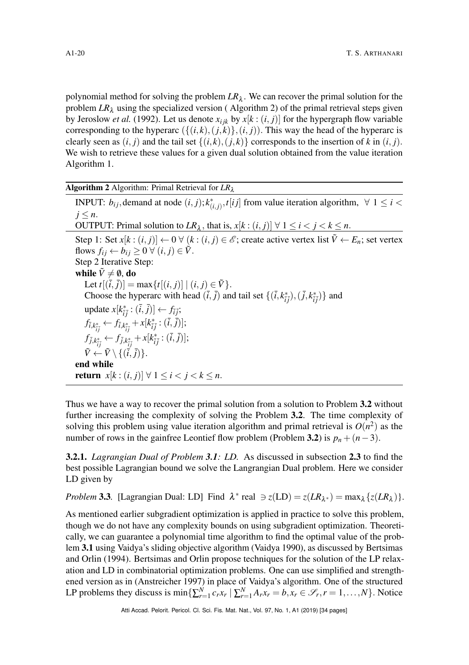polynomial method for solving the problem  $LR_{\lambda}$ . We can recover the primal solution for the problem  $LR_\lambda$  using the specialized version (Algorithm [2\)](#page-19-0) of the primal retrieval steps given by Jeroslow *et al.* [\(1992\)](#page-32-8). Let us denote  $x_{ijk}$  by  $x[k:(i,j)]$  for the hypergraph flow variable corresponding to the hyperarc  $({(i,k),(j,k)},(i,j))$ . This way the head of the hyperarc is clearly seen as  $(i, j)$  and the tail set  $\{(i, k), (j, k)\}$  corresponds to the insertion of  $k$  in  $(i, j)$ . We wish to retrieve these values for a given dual solution obtained from the value iteration Algorithm [1.](#page-18-0)

|  |  | <b>Algorithm 2</b> Algorithm: Primal Retrieval for $LR_{\lambda}$ |  |  |  |
|--|--|-------------------------------------------------------------------|--|--|--|
|--|--|-------------------------------------------------------------------|--|--|--|

INPUT:  $b_{ij}$ , demand at node  $(i, j)$ ;  $k^*_{(i, j)}$ ,  $t[i]$  from value iteration algorithm,  $\forall$  1  $\leq$  *i* <  $j \leq n$ . OUTPUT: Primal solution to  $LR_{\lambda}$ , that is,  $x[k:(i,j)] \forall 1 \leq i < j < k \leq n$ . Step 1: Set  $x[k:(i, j)] \leftarrow 0 \ \forall (k:(i, j) \in \mathcal{E}$ ; create active vertex list  $\tilde{V} \leftarrow E_n$ ; set vertex flows  $f_{ij} \leftarrow b_{ij} \geq 0 \ \forall \ (i, j) \in \tilde{V}$ . Step 2 Iterative Step: while  $\tilde{V} \neq \emptyset$ , do Let  $t[(\bar{i}, \bar{j})] = \max\{t[(i, j)] | (i, j) \in \tilde{V}\}.$ Choose the hyperarc with head  $(\bar{i}, \bar{j})$  and tail set  $\{(\bar{i}, k^*_{\bar{i}\bar{j}}),(\bar{j}, k^*_{\bar{i}\bar{j}})\}$  and update  $x[k_{\bar{i}\bar{j}}^*: (\bar{i},\bar{j})] \leftarrow f_{\bar{i}\bar{j}}$ ;  $f_{\bar{i},k^*_{\bar{i}\bar{j}}} \leftarrow f_{\bar{i},k^*_{\bar{i}\bar{j}}} + x[k^*_{\bar{i}\bar{j}}:(\bar{i},\bar{j})];$  $f_{\bar{j},k^*_{\bar{i}\bar{j}}} \leftarrow f_{\bar{j},k^*_{\bar{i}\bar{j}}} + x[k^*_{\bar{i}\bar{j}}:(\bar{i},\bar{j})];$  $\tilde{V} \leftarrow \tilde{V} \setminus \{(\vec{i},\vec{j})\}.$ end while **return** *x*[ $k$  :  $(i, j)$ ] ∀ 1 ≤  $i < j < k$  ≤ *n*.

<span id="page-19-0"></span>Thus we have a way to recover the primal solution from a solution to Problem [3.2](#page-17-7) without further increasing the complexity of solving the Problem [3.2](#page-17-7). The time complexity of solving this problem using value iteration algorithm and primal retrieval is  $O(n^2)$  as the number of rows in the gainfree Leontief flow problem (Problem [3.2](#page-17-7)) is  $p_n + (n-3)$ .

3.2.1. *Lagrangian Dual of Problem [3.1](#page-17-1): LD.* As discussed in subsection [2.3](#page-7-0) to find the best possible Lagrangian bound we solve the Langrangian Dual problem. Here we consider LD given by

<span id="page-19-1"></span>*Problem* 3.3. [Lagrangian Dual: LD] Find  $\lambda^*$  real  $\Rightarrow z(\text{LD}) = z(LR_{\lambda^*}) = \max_{\lambda} \{z(LR_{\lambda})\}.$ 

As mentioned earlier subgradient optimization is applied in practice to solve this problem, though we do not have any complexity bounds on using subgradient optimization. Theoretically, we can guarantee a polynomial time algorithm to find the optimal value of the problem [3.1](#page-17-1) using Vaidya's sliding objective algorithm (Vaidya [1990\)](#page-33-13), as discussed by Bertsimas and Orlin [\(1994\)](#page-30-13). Bertsimas and Orlin propose techniques for the solution of the LP relaxation and LD in combinatorial optimization problems. One can use simplified and strengthened version as in (Anstreicher [1997\)](#page-30-18) in place of Vaidya's algorithm. One of the structured LP problems they discuss is  $\min\{\sum_{r=1}^{N}c_rx_r \mid \sum_{r=1}^{N}A_rx_r = b, x_r \in \mathcal{S}_r, r = 1, ..., N\}$ . Notice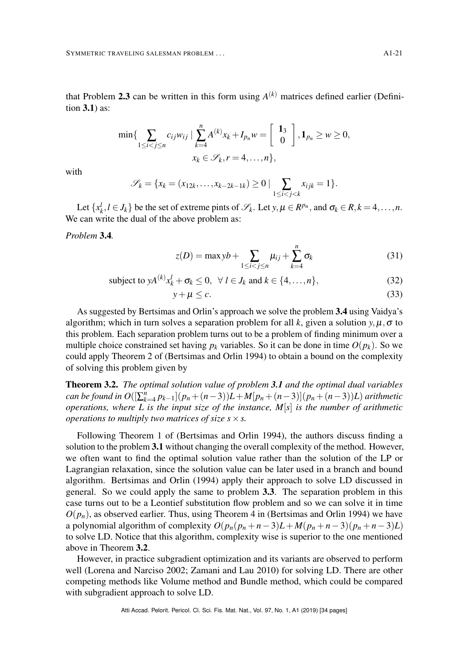that Problem [2.3](#page-7-0) can be written in this form using  $A^{(k)}$  matrices defined earlier (Definition [3.1](#page-15-0)) as:

$$
\min\{\sum_{1\leq i
$$

with

$$
\mathscr{S}_k = \{x_k = (x_{12k}, \dots, x_{k-2k-1k}) \ge 0 \mid \sum_{1 \le i < j < k} x_{ijk} = 1\}.
$$

Let  $\{x_k^l, l \in J_k\}$  be the set of extreme pints of  $\mathcal{S}_k$ . Let  $y, \mu \in R^{p_n}$ , and  $\sigma_k \in R, k = 4, \ldots, n$ . We can write the dual of the above problem as:

<span id="page-20-0"></span>*Problem* 3.4*.*

$$
z(D) = \max yb + \sum_{1 \le i < j \le n} \mu_{ij} + \sum_{k=4}^{n} \sigma_k \tag{31}
$$

subject to 
$$
yA^{(k)}x_k^l + \sigma_k \le 0, \forall l \in J_k \text{ and } k \in \{4,\ldots,n\},
$$
 (32)

$$
y + \mu \leq c. \tag{33}
$$

As suggested by Bertsimas and Orlin's approach we solve the problem [3.4](#page-20-0) using Vaidya's algorithm; which in turn solves a separation problem for all k, given a solution  $y, \mu, \sigma$  to this problem. Each separation problem turns out to be a problem of finding minimum over a multiple choice constrained set having  $p_k$  variables. So it can be done in time  $O(p_k)$ . So we could apply Theorem 2 of (Bertsimas and Orlin [1994\)](#page-30-13) to obtain a bound on the complexity of solving this problem given by

<span id="page-20-1"></span>Theorem 3.2. *The optimal solution value of problem [3.1](#page-17-1) and the optimal dual variables*  $\sum_{k=1}^{n} p_{k-1} (p_{n} + (n-3)) L + M [p_{n} + (n-3)] (p_{n} + (n-3)) L$ ) *arithmetic operations, where L is the input size of the instance, M*[*s*] *is the number of arithmetic operations to multiply two matrices of size*  $s \times s$ *.* 

Following Theorem 1 of (Bertsimas and Orlin [1994\)](#page-30-13), the authors discuss finding a solution to the problem [3.1](#page-17-1) without changing the overall complexity of the method. However, we often want to find the optimal solution value rather than the solution of the LP or Lagrangian relaxation, since the solution value can be later used in a branch and bound algorithm. Bertsimas and Orlin [\(1994\)](#page-30-13) apply their approach to solve LD discussed in general. So we could apply the same to problem [3.3](#page-19-1). The separation problem in this case turns out to be a Leontief substitution flow problem and so we can solve it in time  $O(p_n)$ , as observed earlier. Thus, using Theorem 4 in (Bertsimas and Orlin [1994\)](#page-30-13) we have a polynomial algorithm of complexity  $O(p_n(p_n+n-3)L+M(p_n+n-3)(p_n+n-3)L)$ to solve LD. Notice that this algorithm, complexity wise is superior to the one mentioned above in Theorem [3.2](#page-20-1).

However, in practice subgradient optimization and its variants are observed to perform well (Lorena and Narciso [2002;](#page-32-14) Zamani and Lau [2010\)](#page-33-11) for solving LD. There are other competing methods like Volume method and Bundle method, which could be compared with subgradient approach to solve LD.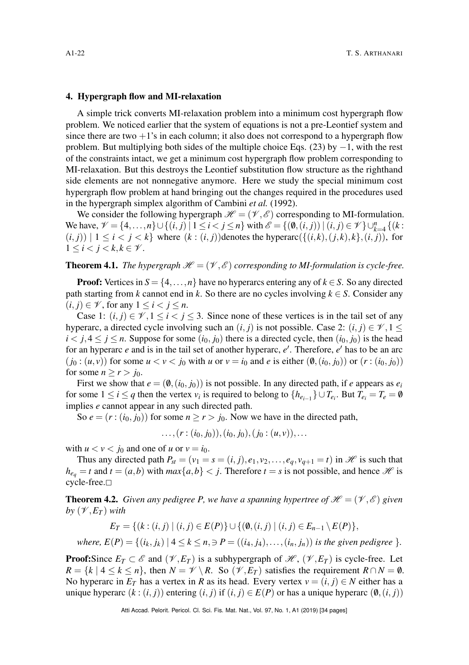#### <span id="page-21-0"></span>4. Hypergraph flow and MI-relaxation

A simple trick converts MI-relaxation problem into a minimum cost hypergraph flow problem. We noticed earlier that the system of equations is not a pre-Leontief system and since there are two  $+1$ 's in each column; it also does not correspond to a hypergraph flow problem. But multiplying both sides of the multiple choice Eqs. [\(23\)](#page-17-6) by  $-1$ , with the rest of the constraints intact, we get a minimum cost hypergraph flow problem corresponding to MI-relaxation. But this destroys the Leontief substitution flow structure as the righthand side elements are not nonnegative anymore. Here we study the special minimum cost hypergraph flow problem at hand bringing out the changes required in the procedures used in the hypergraph simplex algorithm of Cambini *et al.* [\(1992\)](#page-30-11).

We consider the following hypergraph  $\mathcal{H} = (\mathcal{V}, \mathcal{E})$  corresponding to MI-formulation. We have,  $\mathcal{V} = \{4, ..., n\} \cup \{(i, j) | 1 \le i < j \le n\}$  with  $\mathcal{E} = \{(\emptyset, (i, j)) | (i, j) \in \mathcal{V}\} \cup_{k=4}^{n} \{(k : j) | 1 \le i < j \le n\}$  $(i, j)$  |  $1 \le i < j < k$ } where  $(k : (i, j)$  denotes the hyperarc $(\{(i, k), (j, k), k\}, (i, j))$ , for  $1 \leq i < j < k, k \in \mathcal{V}$ .

# **Theorem 4.1.** *The hypergraph*  $\mathcal{H} = (\mathcal{V}, \mathcal{E})$  *corresponding to MI-formulation is cycle-free.*

**Proof:** Vertices in  $S = \{4, ..., n\}$  have no hyperarcs entering any of  $k \in S$ . So any directed path starting from *k* cannot end in *k*. So there are no cycles involving  $k \in S$ . Consider any  $(i, j) \in \mathcal{V}$ , for any  $1 \leq i < j \leq n$ .

Case 1:  $(i, j) \in \mathcal{V}, 1 \leq i < j \leq 3$ . Since none of these vertices is in the tail set of any hyperarc, a directed cycle involving such an  $(i, j)$  is not possible. Case 2:  $(i, j) \in \mathcal{V}, 1 \leq j$  $i < j, 4 \le j \le n$ . Suppose for some  $(i_0, j_0)$  there is a directed cycle, then  $(i_0, j_0)$  is the head for an hyperarc *e* and is in the tail set of another hyperarc, *e* ′ . Therefore, *e* ′ has to be an arc  $(j_0 : (u, v))$  for some  $u < v < j_0$  with  $u$  or  $v = i_0$  and  $e$  is either  $(\emptyset, (i_0, j_0))$  or  $(r : (i_0, j_0))$ for some  $n \ge r > j_0$ .

First we show that  $e = (\emptyset, (i_0, j_0))$  is not possible. In any directed path, if *e* appears as  $e_i$ for some  $1 \le i \le q$  then the vertex  $v_i$  is required to belong to  $\{h_{e_{i-1}}\} \cup T_{e_i}$ . But  $T_{e_i} = T_e = \emptyset$ implies *e* cannot appear in any such directed path.

So  $e = (r : (i_0, j_0))$  for some  $n \ge r > j_0$ . Now we have in the directed path,

 $\dots$ ,  $(r:(i_0, j_0)), (i_0, j_0), (j_0:(u, v)),...$ 

with  $u < v < j_0$  and one of  $u$  or  $v = i_0$ .

Thus any directed path  $P_{st} = (v_1 = s = (i, j), e_1, v_2, \dots, e_q, v_{q+1} = t)$  in  $\mathcal{H}$  is such that  $h_{e_q} = t$  and  $t = (a, b)$  with  $max\{a, b\} < j$ . Therefore  $t = s$  is not possible, and hence  $\mathcal{H}$  is  $cycle-free.$ 

**Theorem 4.2.** *Given any pedigree P, we have a spanning hypertree of*  $\mathcal{H} = (\mathcal{V}, \mathcal{E})$  *given by*  $(\mathcal{V}, E_T)$  *with* 

$$
E_T = \{ (k : (i, j) \mid (i, j) \in E(P) \} \cup \{ (\emptyset, (i, j) \mid (i, j) \in E_{n-1} \setminus E(P) \},
$$

*where,*  $E(P) = \{(i_k, j_k) | 4 \leq k \leq n, \exists P = ((i_4, j_4), \ldots, (i_n, j_n)) \}$  *is the given pedigree*  $\}$ *.* 

**Proof:**Since  $E_T \subset \mathcal{E}$  and  $(\mathcal{V}, E_T)$  is a subhypergraph of  $\mathcal{H}$ ,  $(\mathcal{V}, E_T)$  is cycle-free. Let  $R = \{k \mid 4 \leq k \leq n\}$ , then  $N = \mathcal{V} \setminus R$ . So  $(\mathcal{V}, E_T)$  satisfies the requirement  $R \cap N = \emptyset$ . No hyperarc in  $E_T$  has a vertex in *R* as its head. Every vertex  $v = (i, j) \in N$  either has a unique hyperarc  $(k : (i, j)$  entering  $(i, j)$  if  $(i, j) \in E(P)$  or has a unique hyperarc  $(\emptyset, (i, j))$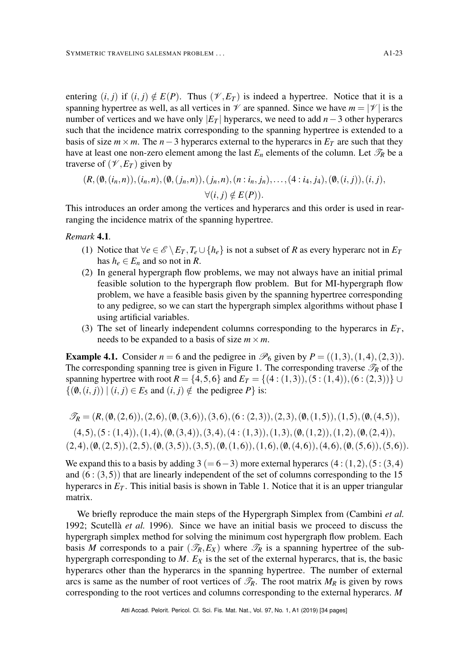entering  $(i, j)$  if  $(i, j) \notin E(P)$ . Thus  $(\mathcal{V}, E_T)$  is indeed a hypertree. Notice that it is a spanning hypertree as well, as all vertices in  $\mathcal V$  are spanned. Since we have  $m = |\mathcal V|$  is the number of vertices and we have only  $|E_T|$  hyperarcs, we need to add  $n-3$  other hyperarcs such that the incidence matrix corresponding to the spanning hypertree is extended to a basis of size  $m \times m$ . The  $n-3$  hyperarcs external to the hyperarcs in  $E_T$  are such that they have at least one non-zero element among the last  $E_n$  elements of the column. Let  $\mathcal{T}_R$  be a traverse of  $(\mathcal{V}, E_T)$  given by

$$
(R, (\emptyset, (i_n, n)), (i_n, n), (\emptyset, (j_n, n)), (j_n, n), (n : i_n, j_n), \ldots, (4 : i_4, j_4), (\emptyset, (i, j)), (i, j),
$$
  

$$
\forall (i, j) \notin E(P)).
$$

This introduces an order among the vertices and hyperarcs and this order is used in rearranging the incidence matrix of the spanning hypertree.

*Remark* 4.1*.*

- (1) Notice that  $\forall e \in \mathcal{E} \setminus E_T$ ,  $T_e \cup \{h_e\}$  is not a subset of *R* as every hyperarc not in  $E_T$ has  $h_e \in E_n$  and so not in *R*.
- (2) In general hypergraph flow problems, we may not always have an initial primal feasible solution to the hypergraph flow problem. But for MI-hypergraph flow problem, we have a feasible basis given by the spanning hypertree corresponding to any pedigree, so we can start the hypergraph simplex algorithms without phase I using artificial variables.
- (3) The set of linearly independent columns corresponding to the hyperarcs in  $E_T$ , needs to be expanded to a basis of size  $m \times m$ .

<span id="page-22-0"></span>**Example 4.1.** Consider  $n = 6$  and the pedigree in  $\mathcal{P}_6$  given by  $P = ((1,3),(1,4),(2,3))$ . The corresponding spanning tree is given in Figure [1.](#page-23-0) The corresponding traverse  $\mathcal{T}_R$  of the spanning hypertree with root  $R = \{4, 5, 6\}$  and  $E_T = \{(4 : (1,3)), (5 : (1,4)), (6 : (2,3))\}$  $\{(\emptyset, (i, j)) \mid (i, j) \in E_5 \text{ and } (i, j) \notin \text{ the pedigree } P\} \text{ is:}$ 

$$
\mathscr{T}_R = (R, (\emptyset, (2,6)), (2,6), (\emptyset, (3,6)), (3,6), (6 : (2,3)), (2,3), (\emptyset, (1,5)), (1,5), (\emptyset, (4,5)),
$$

 $(4,5)$ ,  $(5:(1,4))$ ,  $(1,4)$ ,  $(\emptyset, (3,4))$ ,  $(3,4)$ ,  $(4:(1,3))$ ,  $(1,3)$ ,  $(\emptyset, (1,2))$ ,  $(1,2)$ ,  $(\emptyset, (2,4))$ ,  $(2,4),(\emptyset,(2,5)),(2,5),(\emptyset,(3,5)),(3,5),(\emptyset,(1,6)),(1,6),(\emptyset,(4,6)),(4,6),(\emptyset,(5,6)),(5,6)).$ 

We expand this to a basis by adding  $3 (= 6-3)$  more external hyperarcs  $(4:(1,2),(5:(3,4))$ and  $(6:(3,5))$  that are linearly independent of the set of columns corresponding to the 15 hyperarcs in  $E_T$ . This initial basis is shown in Table [1.](#page-23-1) Notice that it is an upper triangular matrix.

We briefly reproduce the main steps of the Hypergraph Simplex from (Cambini *et al.* [1992;](#page-30-11) Scutellà *et al.* [1996\)](#page-33-14). Since we have an initial basis we proceed to discuss the hypergraph simplex method for solving the minimum cost hypergraph flow problem. Each basis *M* corresponds to a pair  $(\mathcal{T}_R, E_X)$  where  $\mathcal{T}_R$  is a spanning hypertree of the subhypergraph corresponding to  $M$ .  $E_X$  is the set of the external hyperarcs, that is, the basic hyperarcs other than the hyperarcs in the spanning hypertree. The number of external arcs is same as the number of root vertices of  $\mathcal{I}_R$ . The root matrix  $M_R$  is given by rows corresponding to the root vertices and columns corresponding to the external hyperarcs. *M*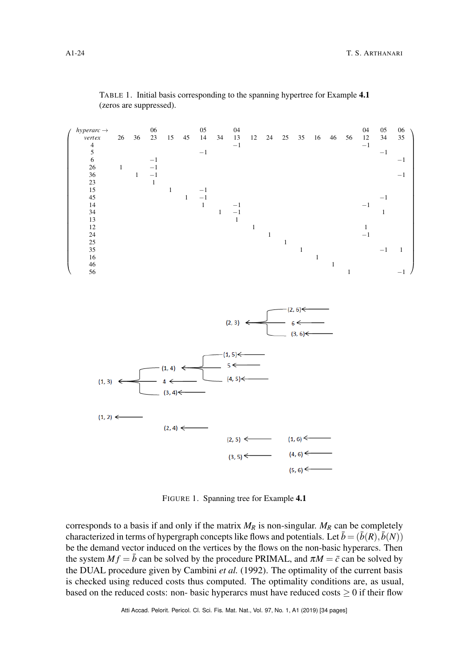<span id="page-23-1"></span><span id="page-23-0"></span>

TABLE 1. Initial basis corresponding to the spanning hypertree for Example [4.1](#page-22-0) (zeros are suppressed).

FIGURE 1. Spanning tree for Example [4.1](#page-22-0)

corresponds to a basis if and only if the matrix  $M_R$  is non-singular.  $M_R$  can be completely characterized in terms of hypergraph concepts like flows and potentials. Let  $\bar{b} = (\bar{b}(R), \bar{b}(N))$ be the demand vector induced on the vertices by the flows on the non-basic hyperarcs. Then the system  $M f = \overline{b}$  can be solved by the procedure PRIMAL, and  $\pi M = \overline{c}$  can be solved by the DUAL procedure given by Cambini *et al.* [\(1992\)](#page-30-11). The optimality of the current basis is checked using reduced costs thus computed. The optimality conditions are, as usual, based on the reduced costs: non- basic hyperarcs must have reduced costs  $\geq 0$  if their flow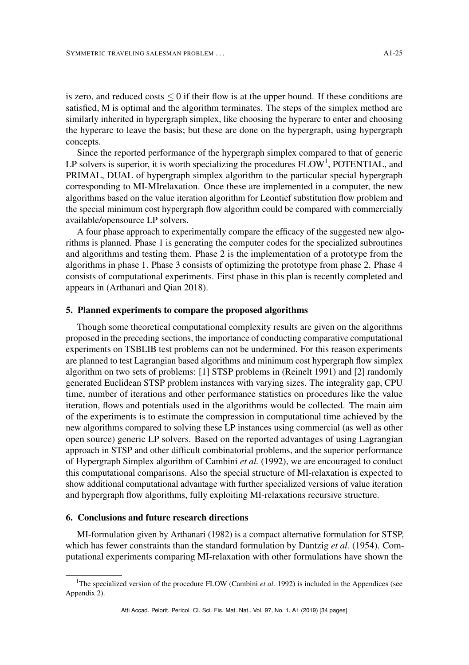is zero, and reduced costs  $\leq 0$  if their flow is at the upper bound. If these conditions are satisfied, M is optimal and the algorithm terminates. The steps of the simplex method are similarly inherited in hypergraph simplex, like choosing the hyperarc to enter and choosing the hyperarc to leave the basis; but these are done on the hypergraph, using hypergraph concepts.

Since the reported performance of the hypergraph simplex compared to that of generic LP solvers is superior, it is worth specializing the procedures  $FLOW<sup>1</sup>$  $FLOW<sup>1</sup>$  $FLOW<sup>1</sup>$ , POTENTIAL, and PRIMAL, DUAL of hypergraph simplex algorithm to the particular special hypergraph corresponding to MI-MIrelaxation. Once these are implemented in a computer, the new algorithms based on the value iteration algorithm for Leontief substitution flow problem and the special minimum cost hypergraph flow algorithm could be compared with commercially available/opensource LP solvers.

A four phase approach to experimentally compare the efficacy of the suggested new algorithms is planned. Phase 1 is generating the computer codes for the specialized subroutines and algorithms and testing them. Phase 2 is the implementation of a prototype from the algorithms in phase 1. Phase 3 consists of optimizing the prototype from phase 2. Phase 4 consists of computational experiments. First phase in this plan is recently completed and appears in (Arthanari and Qian [2018\)](#page-30-19).

### <span id="page-24-0"></span>5. Planned experiments to compare the proposed algorithms

Though some theoretical computational complexity results are given on the algorithms proposed in the preceding sections, the importance of conducting comparative computational experiments on TSBLIB test problems can not be undermined. For this reason experiments are planned to test Lagrangian based algorithms and minimum cost hypergraph flow simplex algorithm on two sets of problems: [1] STSP problems in (Reinelt [1991\)](#page-33-5) and [2] randomly generated Euclidean STSP problem instances with varying sizes. The integrality gap, CPU time, number of iterations and other performance statistics on procedures like the value iteration, flows and potentials used in the algorithms would be collected. The main aim of the experiments is to estimate the compression in computational time achieved by the new algorithms compared to solving these LP instances using commercial (as well as other open source) generic LP solvers. Based on the reported advantages of using Lagrangian approach in STSP and other difficult combinatorial problems, and the superior performance of Hypergraph Simplex algorithm of Cambini *et al.* [\(1992\)](#page-30-11), we are encouraged to conduct this computational comparisons. Also the special structure of MI-relaxation is expected to show additional computational advantage with further specialized versions of value iteration and hypergraph flow algorithms, fully exploiting MI-relaxations recursive structure.

## 6. Conclusions and future research directions

MI-formulation given by Arthanari [\(1982\)](#page-30-5) is a compact alternative formulation for STSP, which has fewer constraints than the standard formulation by Dantzig *et al.* [\(1954\)](#page-30-2). Computational experiments comparing MI-relaxation with other formulations have shown the

<span id="page-24-1"></span><sup>&</sup>lt;sup>1</sup>The specialized version of the procedure FLOW (Cambini *et al.* [1992\)](#page-30-11) is included in the Appendices (see Appendix 2).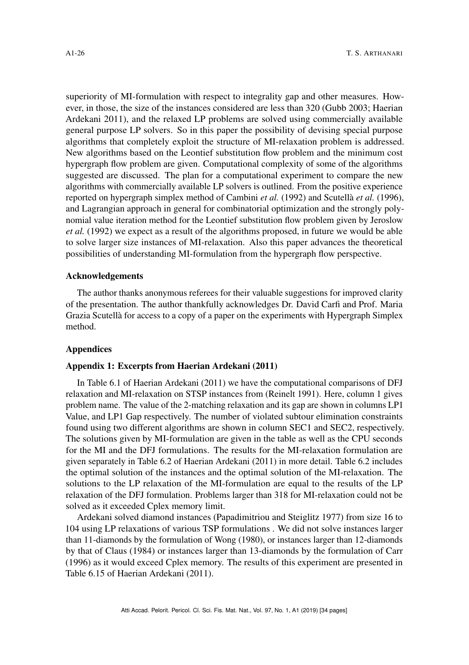superiority of MI-formulation with respect to integrality gap and other measures. However, in those, the size of the instances considered are less than 320 (Gubb [2003;](#page-31-6) Haerian Ardekani [2011\)](#page-31-5), and the relaxed LP problems are solved using commercially available general purpose LP solvers. So in this paper the possibility of devising special purpose algorithms that completely exploit the structure of MI-relaxation problem is addressed. New algorithms based on the Leontief substitution flow problem and the minimum cost hypergraph flow problem are given. Computational complexity of some of the algorithms suggested are discussed. The plan for a computational experiment to compare the new algorithms with commercially available LP solvers is outlined. From the positive experience reported on hypergraph simplex method of Cambini *et al.* [\(1992\)](#page-30-11) and Scutellà *et al.* [\(1996\)](#page-33-14), and Lagrangian approach in general for combinatorial optimization and the strongly polynomial value iteration method for the Leontief substitution flow problem given by Jeroslow *et al.* [\(1992\)](#page-32-8) we expect as a result of the algorithms proposed, in future we would be able to solve larger size instances of MI-relaxation. Also this paper advances the theoretical possibilities of understanding MI-formulation from the hypergraph flow perspective.

### Acknowledgements

The author thanks anonymous referees for their valuable suggestions for improved clarity of the presentation. The author thankfully acknowledges Dr. David Carfi and Prof. Maria Grazia Scutellà for access to a copy of a paper on the experiments with Hypergraph Simplex method.

### **Appendices**

### <span id="page-25-0"></span>Appendix 1: Excerpts from Haerian Ardekani [\(2011\)](#page-31-5)

In Table 6.1 of Haerian Ardekani [\(2011\)](#page-31-5) we have the computational comparisons of DFJ relaxation and MI-relaxation on STSP instances from (Reinelt [1991\)](#page-33-5). Here, column 1 gives problem name. The value of the 2-matching relaxation and its gap are shown in columns LP1 Value, and LP1 Gap respectively. The number of violated subtour elimination constraints found using two different algorithms are shown in column SEC1 and SEC2, respectively. The solutions given by MI-formulation are given in the table as well as the CPU seconds for the MI and the DFJ formulations. The results for the MI-relaxation formulation are given separately in Table 6.2 of Haerian Ardekani [\(2011\)](#page-31-5) in more detail. Table 6.2 includes the optimal solution of the instances and the optimal solution of the MI-relaxation. The solutions to the LP relaxation of the MI-formulation are equal to the results of the LP relaxation of the DFJ formulation. Problems larger than 318 for MI-relaxation could not be solved as it exceeded Cplex memory limit.

Ardekani solved diamond instances (Papadimitriou and Steiglitz [1977\)](#page-32-11) from size 16 to 104 using LP relaxations of various TSP formulations . We did not solve instances larger than 11-diamonds by the formulation of Wong [\(1980\)](#page-33-1), or instances larger than 12-diamonds by that of Claus [\(1984\)](#page-30-4) or instances larger than 13-diamonds by the formulation of Carr [\(1996\)](#page-30-12) as it would exceed Cplex memory. The results of this experiment are presented in Table 6.15 of Haerian Ardekani [\(2011\)](#page-31-5).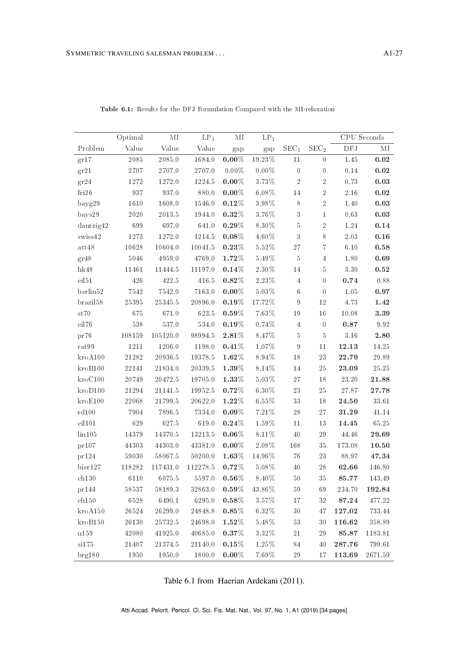|                     | Optimal    | $\rm MI$   | $\mathrm{LP}_1$ | $\rm MI$ | $\mathrm{LP}_1$ |                  |                  |            | CPU Seconds         |
|---------------------|------------|------------|-----------------|----------|-----------------|------------------|------------------|------------|---------------------|
| Problem             | Value      | Value      | Value           | gap      | gap             | SEC <sub>1</sub> | SEC <sub>2</sub> | $\rm{DFJ}$ | $\rm MI$            |
| gr17                | 2085       | 2085.0     | 1684.0          | $0.00\%$ | 19.23%          | 11               | $\overline{0}$   | 1.45       | 0.02                |
| gr21                | 2707       | 2707.0     | 2707.0          | $0.00\%$ | $0.00\%$        | $\boldsymbol{0}$ | $\boldsymbol{0}$ | 0.14       | $\boldsymbol{0.02}$ |
| gr24                | 1272       | 1272.0     | 1224.5          | $0.00\%$ | $3.73\%$        | $\,2$            | $\sqrt{2}$       | 0.73       | 0.03                |
| fri26               | 937        | 937.0      | 880.0           | $0.00\%$ | 6.08%           | 14               | $\overline{2}$   | 2.16       | 0.02                |
| bayg29              | 1610       | 1608.0     | 1546.0          | $0.12\%$ | $3.98\%$        | 8                | $\overline{2}$   | 1.40       | $\rm 0.03$          |
| bays29              | 2020       | 2013.5     | 1944.0          | $0.32\%$ | $3.76\%$        | 3                | $\mathbf 1$      | 0.63       | $\boldsymbol{0.03}$ |
| dantzig42           | 699        | 697.0      | 641.0           | $0.29\%$ | 8.30%           | $\bf 5$          | $\,2$            | 1.24       | 0.14                |
| swiss42             | 1273       | 1272.0     | 1214.5          | $0.08\%$ | 4.60%           | $\sqrt{3}$       | 8                | 2.03       | 0.16                |
| att48               | 10628      | 10604.0    | 10041.5         | $0.23\%$ | 5.52%           | 27               | $\overline{7}$   | 6.10       | 0.58                |
| gr48                | 5046       | $4959.0\,$ | 4769.0          | $1.72\%$ | $5.49\%$        | $\bf 5$          | $\overline{4}$   | 1.80       | $\boldsymbol{0.69}$ |
| $h$ k48             | 11461      | 11444.5    | 11197.0         | 0.14%    | 2.30%           | $14\,$           | 5                | 3.30       | 0.52                |
| eil51               | 426        | 422.5      | 416.5           | $0.82\%$ | $2.23\%$        | $\overline{4}$   | $\boldsymbol{0}$ | $0.74\,$   | $\rm 0.88$          |
| berlin52            | 7542       | 7542.0     | 7163.0          | $0.00\%$ | 5.03%           | $\,6\,$          | $\overline{0}$   | 1.05       | 0.97                |
| brazil58            | 25395      | 25345.5    | 20896.0         | $0.19\%$ | 17.72%          | $\boldsymbol{9}$ | $12\,$           | 4.73       | 1.42                |
| st70                | 675        | 671.0      | 623.5           | $0.59\%$ | 7.63%           | $19\,$           | $1\,6$           | 10.08      | $\bf 3.39$          |
| eil76               | 538        | 537.0      | 534.0           | $0.19\%$ | 0.74%           | $\overline{4}$   | $\boldsymbol{0}$ | 0.87       | $9.92\,$            |
| pr76                | $108159\,$ | 105120.0   | 98994.5         | $2.81\%$ | $8.47\%$        | $\rm 5$          | $\bf 5$          | $3.16\,$   | $\boldsymbol{2.80}$ |
| rat99               | 1211       | 1206.0     | 1198.0          | 0.41%    | $1.07\%$        | $\boldsymbol{9}$ | $11\,$           | 12.13      | 14.25               |
| $k_{\text{ro}}A100$ | 21282      | 20936.5    | 19378.5         | $1.62\%$ | 8.94%           | 18               | $\sqrt{23}$      | 22.79      | 29.89               |
| kroB100             | 22141      | 21834.0    | 20339.5         | $1.39\%$ | 8.14%           | 14               | 25               | 23.09      | 25.25               |
| $k\text{ro}C100$    | 20749      | 20472.5    | 19705.0         | 1.33%    | 5.03%           | 27               | 18               | 23.20      | 21.88               |
| kroD100             | 21294      | 21141.5    | 19952.5         | $0.72\%$ | $6.30\%$        | $\sqrt{23}$      | 25               | 27.87      | 27.78               |
| kroE100             | 22068      | 21799.5    | 20622.0         | $1.22\%$ | 6.55%           | 33               | 18               | 24.50      | 33.61               |
| rd100               | $7\,904$   | 7896.5     | 7334.0          | $0.09\%$ | 7.21%           | 28               | 27               | 31.29      | 41.14               |
| eil101              | 629        | 627.5      | 619.0           | $0.24\%$ | 1.59%           | 11               | 13               | 14.45      | 65.25               |
| $\ln 105$           | 14379      | 14370.5    | 13213.5         | $0.06\%$ | 8.11%           | 40               | 29               | 44.46      | 29.69               |
| pr107               | 44303      | 44303.0    | 43381.0         | $0.00\%$ | $2.08\%$        | 168              | 35               | 173.08     | 10.50               |
| pr124               | 59030      | 58067.5    | 50200.0         | $1.63\%$ | 14.96%          | 76               | 23               | 88.97      | 47.34               |
| bier127             | 118282     | 117431.0   | 112278.5        | $0.72\%$ | $5.08\%$        | $40\,$           | $\sqrt{28}$      | 62.66      | 146.80              |
| ch130               | 6110       | 6075.5     | 5597.0          | $0.56\%$ | 8.40%           | 50               | 35               | 85.77      | 143.49              |
| pr144               | $58537\,$  | 58189.3    | 32863.0         | $0.59\%$ | 43.86%          | $59\,$           | 69               | $234.70\,$ | 192.84              |
| ch150               | 6528       | 6490.1     | 6295.0          | $0.58\%$ | 3.57%           | 17               | 32               | 87.24      | 477.22              |
| kroA150             | 26524      | 26299.0    | 24848.8         | $0.85\%$ | 6.32%           | 30               | 47               | 127.02     | 733.44              |
| kroB150             | $26130\,$  | 25732.5    | 24698.0         | $1.52\%$ | $5.48\%$        | 53               | $30\,$           | 116.62     | 358.89              |
| u159                | 42080      | 41925.0    | 40685.0         | $0.37\%$ | 3.32%           | 21               | 29               | 85.87      | 1183.81             |
| si175               | 21407      | 21374.5    | 21140.0         | $0.15\%$ | 1.25%           | 84               | 40               | 287.76     | 799.61              |
| $\text{br}$ e 180   | 1950       | 1950.0     | 1800.0          | $0.00\%$ | 7.69%           | 29               | 17               | 113.69     | 2671.59             |

Table 6.1: Results for the DFJ Formulation Compared with the MI-relaxation

Table 6.1 from Haerian Ardekani (2011).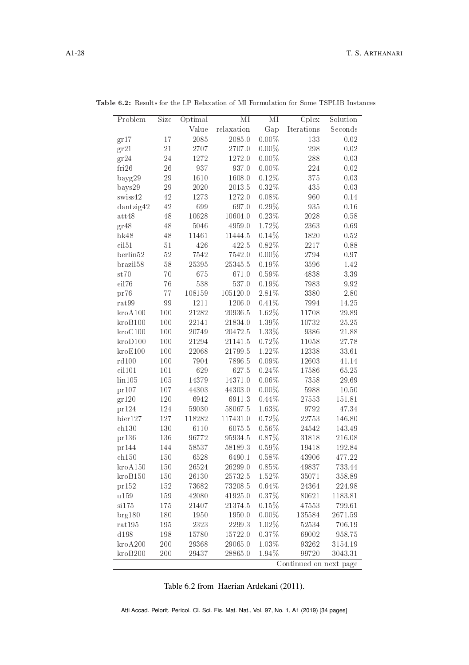| Problem              | Size | Optimal | $\rm MI$   | $\overline{\text{MI}}$ | Cplex                  | Solution |
|----------------------|------|---------|------------|------------------------|------------------------|----------|
|                      |      | Value   | relaxation | Gap                    | Iterations             | Seconds  |
| gr17                 | 17   | 2085    | 2085.0     | $0.00\%$               | 133                    | 0.02     |
| gr21                 | 21   | 2707    | 2707.0     | $0.00\%$               | 298                    | 0.02     |
| gr24                 | 24   | 1272    | 1272.0     | $0.00\%$               | 288                    | 0.03     |
| fri26                | 26   | 937     | 937.0      | $0.00\%$               | 224                    | 0.02     |
| bayg29               | 29   | 1610    | 1608.0     | 0.12%                  | 375                    | 0.03     |
| $b$ ays $29$         | 29   | 2020    | 2013.5     | 0.32%                  | 435                    | 0.03     |
| swiss42              | 42   | 1273    | 1272.0     | 0.08%                  | 960                    | 0.14     |
| dantzig42            | 42   | 699     | 697.0      | $0.29\%$               | 935                    | 0.16     |
| att48                | 48   | 10628   | 10604.0    | $0.23\%$               | 2028                   | 0.58     |
| gr48                 | 48   | 5046    | 4959.0     | 1.72%                  | 2363                   | 0.69     |
| $h$ k $48$           | 48   | 11461   | 11444.5    | $0.14\%$               | 1820                   | 0.52     |
| eil51                | 51   | 426     | 422.5      | 0.82%                  | 2217                   | 0.88     |
| berlin52             | 52   | 7542    | 7542.0     | $0.00\%$               | 2794                   | 0.97     |
| brazil <sup>58</sup> | 58   | 25395   | 25345.5    | $0.19\%$               | 3596                   | 1.42     |
| st70                 | 70   | 675     | 671.0      | $0.59\%$               | 4838                   | 3.39     |
| eil76                | 76   | 538     | 537.0      | $0.19\%$               | 7983                   | 9.92     |
| pr76                 | 77   | 108159  | 105120.0   | 2.81%                  | 3380                   | 2.80     |
| rat99                | 99   | 1211    | 1206.0     | 0.41%                  | 7994                   | 14.25    |
| $k$ ro $A100$        | 100  | 21282   | 20936.5    | 1.62%                  | 11708                  | 29.89    |
| kroB100              | 100  | 22141   | 21834.0    | $1.39\%$               | 10732                  | 25.25    |
| kroC100              | 100  | 20749   | 20472.5    | $1.33\%$               | 9386                   | 21.88    |
| kroD100              | 100  | 21294   | 21141.5    | $0.72\%$               | 11058                  | 27.78    |
| kroE100              | 100  | 22068   | 21799.5    | 1.22%                  | 12338                  | 33.61    |
| rd100                | 100  | 7904    | 7896.5     | $0.09\%$               | 12603                  | 41.14    |
| eil101               | 101  | 629     | 627.5      | 0.24%                  | 17586                  | 65.25    |
| $\ln 105$            | 105  | 14379   | 14371.0    | $0.06\%$               | 7358                   | 29.69    |
| pr107                | 107  | 44303   | 44303.0    | $0.00\%$               | 5988                   | 10.50    |
| gr120                | 120  | 6942    | 6911.3     | $0.44\%$               | 27553                  | 151.81   |
| pr124                | 124  | 59030   | 58067.5    | 1.63%                  | 9792                   | 47.34    |
| bier127              | 127  | 118282  | 117431.0   | $0.72\%$               | 22753                  | 146.80   |
| ch130                | 130  | 6110    | 6075.5     | $0.56\%$               | 24542                  | 143.49   |
| pr136                | 136  | 96772   | 95934.5    | 0.87%                  | 31818                  | 216.08   |
| pr144                | 144  | 58537   | 58189.3    | 0.59%                  | 19418                  | 192.84   |
| ch150                | 150  | 6528    | 6490.1     | 0.58%                  | 43906                  | 477.22   |
| kroA150              | 150  | 26524   | 26299.0    | 0.85%                  | 49837                  | 733.44   |
| kroB150              | 150  | 26130   | 25732.5    | 1.52%                  | 35071                  | 358.89   |
| pr152                | 152  | 73682   | 73208.5    | 0.64%                  | 24364                  | 224.98   |
| u159                 | 159  | 42080   | 41925.0    | 0.37%                  | 80621                  | 1183.81  |
| si175                | 175  | 21407   | 21374.5    | 0.15%                  | 47553                  | 799.61   |
| brg180               | 180  | 1950    | 1950.0     | $0.00\%$               | 135584                 | 2671.59  |
| rat 195              | 195  | 2323    | 2299.3     | 1.02%                  | 52534                  | 706.19   |
| d198                 | 198  | 15780   | 15722.0    | 0.37%                  | 69002                  | 958.75   |
| kroA200              | 200  | 29368   | 29065.0    | 1.03%                  | 93262                  | 3154.19  |
| kroB200              | 200  | 29437   | 28865.0    | 1.94%                  | 99720                  | 3043.31  |
|                      |      |         |            |                        | Continued on next page |          |

Table 6.2: Results for the LP Relaxation of MI Formulation for Some TSPLIB Instances

Table 6.2 from Haerian Ardekani (2011).

Atti Accad. Pelorit. Pericol. Cl. Sci. Fis. Mat. Nat., Vol. 97, No. 1, A1 (2019) [34 pages]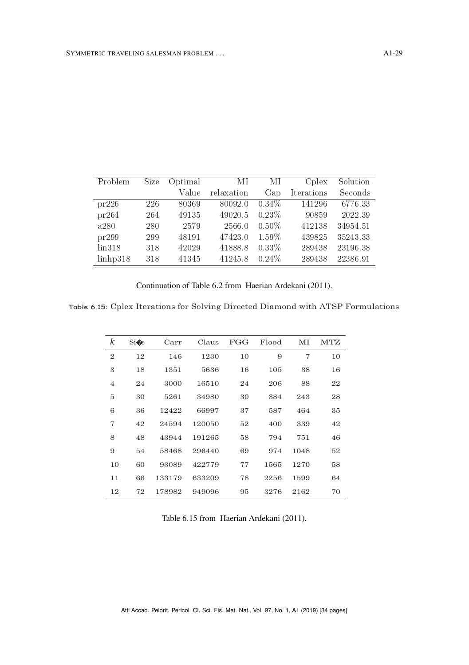| Problem            | Size | Optimal | ΜΙ         | МI       | C <sub>plex</sub> | Solution |
|--------------------|------|---------|------------|----------|-------------------|----------|
|                    |      | Value   | relaxation | Gap      | Iterations        | Seconds  |
| pr226              | 226  | 80369   | 80092.0    | $0.34\%$ | 141296            | 6776.33  |
| pr264              | 264  | 49135   | 49020.5    | $0.23\%$ | 90859             | 2022.39  |
| a280               | 280  | 2579    | 2566.0     | $0.50\%$ | 412138            | 34954.51 |
| pr299              | 299  | 48191   | 47423.0    | 1.59%    | 439825            | 35243.33 |
| $\lim 318$         | 318  | 42029   | 41888.8    | $0.33\%$ | 289438            | 23196.38 |
| $\lim_{h \to 318}$ | 318  | 41345   | 41245.8    | 0.24%    | 289438            | 22386.91 |

Continuation of Table 6.2 from Haerian Ardekani [\(2011\)](#page-31-5).

Table 6.15: Cplex Iterations for Solving Directed Diamond with ATSP Formulations

| k              | Si | Carr   | Claus  | FGG | Flood | МΙ   | <b>MTZ</b> |
|----------------|----|--------|--------|-----|-------|------|------------|
| $\mathbf{2}$   | 12 | 146    | 1230   | 10  | 9     | 7    | 10         |
| 3              | 18 | 1351   | 5636   | 16  | 105   | 38   | 16         |
| $\overline{4}$ | 24 | 3000   | 16510  | 24  | 206   | 88   | 22         |
| 5              | 30 | 5261   | 34980  | 30  | 384   | 243  | 28         |
| 6              | 36 | 12422  | 66997  | 37  | 587   | 464  | 35         |
| 7              | 42 | 24594  | 120050 | 52  | 400   | 339  | 42         |
| 8              | 48 | 43944  | 191265 | 58  | 794   | 751  | 46         |
| 9              | 54 | 58468  | 296440 | 69  | 974   | 1048 | 52         |
| 10             | 60 | 93089  | 422779 | 77  | 1565  | 1270 | 58         |
| 11             | 66 | 133179 | 633209 | 78  | 2256  | 1599 | 64         |
| 12             | 72 | 178982 | 949096 | 95  | 3276  | 2162 | 70         |
|                |    |        |        |     |       |      |            |

Table 6.15 from Haerian Ardekani [\(2011\)](#page-31-5).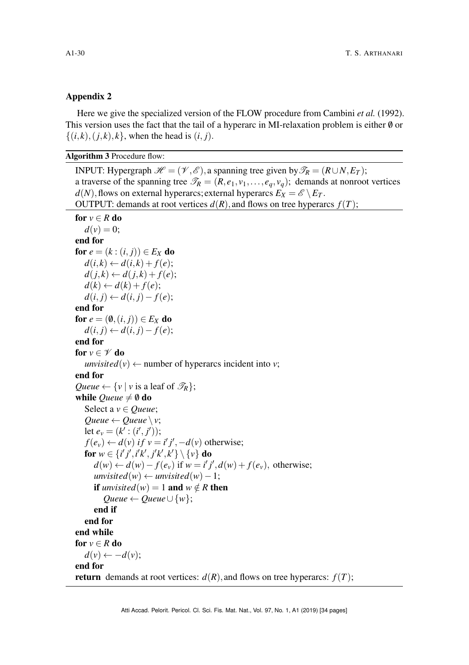### Appendix 2

Here we give the specialized version of the FLOW procedure from Cambini *et al.* [\(1992\)](#page-30-11). This version uses the fact that the tail of a hyperarc in MI-relaxation problem is either  $\emptyset$  or  $\{(i,k), (j,k), k\}$ , when the head is  $(i, j)$ .

Algorithm 3 Procedure flow:

INPUT: Hypergraph  $\mathcal{H} = (\mathcal{V}, \mathcal{E})$ , a spanning tree given by  $\mathcal{T}_R = (R \cup N, E_T)$ ; a traverse of the spanning tree  $\mathcal{T}_R = (R, e_1, v_1, \dots, e_q, v_q)$ ; demands at nonroot vertices  $d(N)$ , flows on external hyperarcs; external hyperarcs  $E_X = \mathscr{E} \setminus E_T$ . OUTPUT: demands at root vertices  $d(R)$ , and flows on tree hyperarcs  $f(T)$ ;

```
for v \in R do
   d(v) = 0;end for
for e = (k : (i, j)) \in E_X do
   d(i,k) \leftarrow d(i,k) + f(e);d(j,k) \leftarrow d(j,k) + f(e);d(k) \leftarrow d(k) + f(e);d(i, j) ← d(i, j) - f(e);
end for
for e = (\emptyset, (i, j)) \in E_X do
   d(i, j) ← d(i, j) − f(e);
end for
for v \in \mathscr{V} do
   unvisited(v) \leftarrow number of hyperarcs incident into v;
end for
Queue \leftarrow \{v \mid v \text{ is a leaf of } \mathcal{T}_R\};while Queue \neq \emptyset do
   Select a v ∈ Queue;
   Queue \leftarrow Queue \backslash v;
   let e_v = (k' : (i', j'));
    f(e_v) \leftarrow d(v) if v = i'j', -d(v) otherwise;
   for w \in \{i'j', i'k', j'k', k'\} \setminus \{v\} do
      d(w) ← d(w) − f(e<sub>v</sub>) if w = i'j',d(w) + f(e<sub>v</sub>), otherwise;
      unvisited(w) \leftarrow unvisited(w) - 1;if unvisited(w) = 1 and w \notin R then
         Queue ← Queue \cup {w};
      end if
   end for
end while
for v \in R do
   d(v) \leftarrow -d(v);end for
return demands at root vertices: d(R), and flows on tree hyperarcs: f(T);
```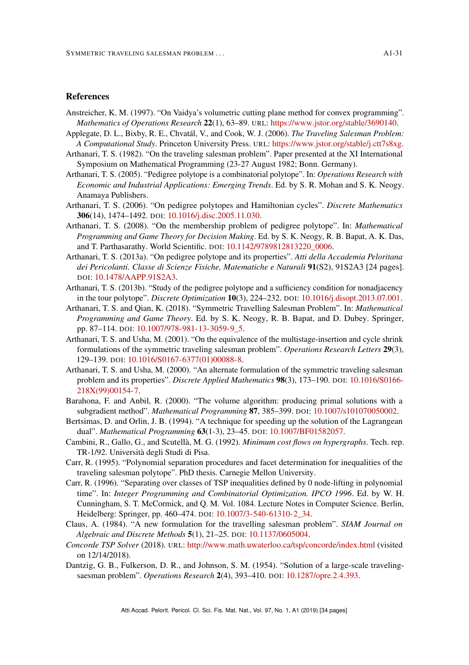### <span id="page-30-0"></span>References

- <span id="page-30-18"></span>Anstreicher, K. M. (1997). "On Vaidya's volumetric cutting plane method for convex programming". *Mathematics of Operations Research* 22(1), 63–89. URL: [https://www.jstor.org/stable/3690140.](https://www.jstor.org/stable/3690140)
- <span id="page-30-1"></span>Applegate, D. L., Bixby, R. E., Chvatál, V., and Cook, W. J. (2006). *The Traveling Salesman Problem: A Computational Study*. Princeton University Press. URL: [https://www.jstor.org/stable/j.ctt7s8xg.](https://www.jstor.org/stable/j.ctt7s8xg)
- <span id="page-30-5"></span>Arthanari, T. S. (1982). "On the traveling salesman problem". Paper presented at the XI International Symposium on Mathematical Programming (23-27 August 1982; Bonn. Germany).
- <span id="page-30-8"></span>Arthanari, T. S. (2005). "Pedigree polytope is a combinatorial polytope". In: *Operations Research with Economic and Industrial Applications: Emerging Trends*. Ed. by S. R. Mohan and S. K. Neogy. Anamaya Publishers.
- <span id="page-30-9"></span>Arthanari, T. S. (2006). "On pedigree polytopes and Hamiltonian cycles". *Discrete Mathematics* 306(14), 1474–1492. DOI: [10.1016/j.disc.2005.11.030.](https://doi.org/10.1016/j.disc.2005.11.030)
- <span id="page-30-10"></span>Arthanari, T. S. (2008). "On the membership problem of pedigree polytope". In: *Mathematical Programming and Game Theory for Decision Making*. Ed. by S. K. Neogy, R. B. Bapat, A. K. Das, and T. Parthasarathy. World Scientific. DOI: [10.1142/9789812813220\\_0006.](https://doi.org/10.1142/9789812813220_0006)
- <span id="page-30-16"></span>Arthanari, T. S. (2013a). "On pedigree polytope and its properties". *Atti della Accademia Peloritana dei Pericolanti. Classe di Scienze Fisiche, Matematiche e Naturali* 91(S2), 91S2A3 [24 pages]. DOI: [10.1478/AAPP.91S2A3.](https://doi.org/10.1478/AAPP.91S2A3)
- <span id="page-30-17"></span>Arthanari, T. S. (2013b). "Study of the pedigree polytope and a sufficiency condition for nonadjacency in the tour polytope". *Discrete Optimization* 10(3), 224–232. DOI: [10.1016/j.disopt.2013.07.001.](https://doi.org/10.1016/j.disopt.2013.07.001)
- <span id="page-30-19"></span>Arthanari, T. S. and Qian, K. (2018). "Symmetric Travelling Salesman Problem". In: *Mathematical Programming and Game Theory*. Ed. by S. K. Neogy, R. B. Bapat, and D. Dubey. Springer, pp. 87–114. DOI: [10.1007/978-981-13-3059-9\\_5.](https://doi.org/10.1007/978-981-13-3059-9_5)
- <span id="page-30-7"></span>Arthanari, T. S. and Usha, M. (2001). "On the equivalence of the multistage-insertion and cycle shrink formulations of the symmetric traveling salesman problem". *Operations Research Letters* 29(3), 129–139. DOI: [10.1016/S0167-6377\(01\)00088-8.](https://doi.org/10.1016/S0167-6377(01)00088-8)
- <span id="page-30-15"></span>Arthanari, T. S. and Usha, M. (2000). "An alternate formulation of the symmetric traveling salesman problem and its properties". *Discrete Applied Mathematics* 98(3), 173–190. DOI: [10.1016/S0166-](https://doi.org/10.1016/S0166-218X(99)00154-7) [218X\(99\)00154-7.](https://doi.org/10.1016/S0166-218X(99)00154-7)
- <span id="page-30-14"></span>Barahona, F. and Anbil, R. (2000). "The volume algorithm: producing primal solutions with a subgradient method". *Mathematical Programming* 87, 385–399. DOI: [10.1007/s101070050002.](https://doi.org/10.1007/s101070050002)
- <span id="page-30-13"></span>Bertsimas, D. and Orlin, J. B. (1994). "A technique for speeding up the solution of the Lagrangean dual". *Mathematical Programming* 63(1-3), 23–45. DOI: [10.1007/BF01582057.](https://doi.org/10.1007/BF01582057)
- <span id="page-30-11"></span>Cambini, R., Gallo, G., and Scutellà, M. G. (1992). *Minimum cost flows on hypergraphs*. Tech. rep. TR-1/92. Università degli Studi di Pisa.
- <span id="page-30-6"></span>Carr, R. (1995). "Polynomial separation procedures and facet determination for inequalities of the traveling salesman polytope". PhD thesis. Carnegie Mellon University.
- <span id="page-30-12"></span>Carr, R. (1996). "Separating over classes of TSP inequalities defined by 0 node-lifting in polynomial time". In: *Integer Programming and Combinatorial Optimization. IPCO 1996*. Ed. by W. H. Cunningham, S. T. McCormick, and Q. M. Vol. 1084. Lecture Notes in Computer Science. Berlin, Heidelberg: Springer, pp. 460–474. DOI: [10.1007/3-540-61310-2\\_34.](https://doi.org/10.1007/3-540-61310-2_34)
- <span id="page-30-4"></span>Claus, A. (1984). "A new formulation for the travelling salesman problem". *SIAM Journal on Algebraic and Discrete Methods* 5(1), 21–25. DOI: [10.1137/0605004.](https://doi.org/10.1137/0605004)
- <span id="page-30-3"></span>*Concorde TSP Solver* (2018). URL: <http://www.math.uwaterloo.ca/tsp/concorde/index.html> (visited on 12/14/2018).
- <span id="page-30-2"></span>Dantzig, G. B., Fulkerson, D. R., and Johnson, S. M. (1954). "Solution of a large-scale travelingsaesman problem". *Operations Research* 2(4), 393–410. DOI: [10.1287/opre.2.4.393.](https://doi.org/10.1287/opre.2.4.393)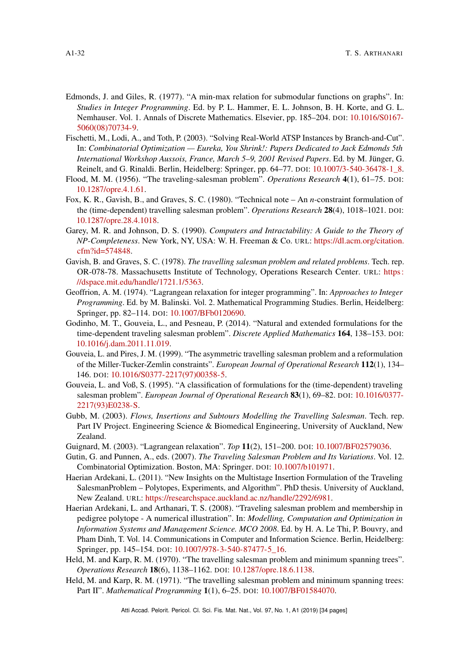- <span id="page-31-16"></span>Edmonds, J. and Giles, R. (1977). "A min-max relation for submodular functions on graphs". In: *Studies in Integer Programming*. Ed. by P. L. Hammer, E. L. Johnson, B. H. Korte, and G. L. Nemhauser. Vol. 1. Annals of Discrete Mathematics. Elsevier, pp. 185–204. DOI: [10.1016/S0167-](https://doi.org/10.1016/S0167-5060(08)70734-9) [5060\(08\)70734-9.](https://doi.org/10.1016/S0167-5060(08)70734-9)
- <span id="page-31-11"></span>Fischetti, M., Lodi, A., and Toth, P. (2003). "Solving Real-World ATSP Instances by Branch-and-Cut". In: *Combinatorial Optimization — Eureka, You Shrink!: Papers Dedicated to Jack Edmonds 5th International Workshop Aussois, France, March 5–9, 2001 Revised Papers*. Ed. by M. Jünger, G. Reinelt, and G. Rinaldi. Berlin, Heidelberg: Springer, pp. 64–77. DOI: [10.1007/3-540-36478-1\\_8.](https://doi.org/10.1007/3-540-36478-1_8)
- <span id="page-31-9"></span>Flood, M. M. (1956). "The traveling-salesman problem". *Operations Research* 4(1), 61–75. DOI: [10.1287/opre.4.1.61.](https://doi.org/10.1287/opre.4.1.61)
- <span id="page-31-8"></span>Fox, K. R., Gavish, B., and Graves, S. C. (1980). "Technical note – An *n*-constraint formulation of the (time-dependent) travelling salesman problem". *Operations Research* 28(4), 1018–1021. DOI: [10.1287/opre.28.4.1018.](https://doi.org/10.1287/opre.28.4.1018)
- <span id="page-31-1"></span>Garey, M. R. and Johnson, D. S. (1990). *Computers and Intractability: A Guide to the Theory of NP-Completeness*. New York, NY, USA: W. H. Freeman & Co. URL: [https://dl.acm.org/citation.](https://dl.acm.org/citation.cfm?id=574848) [cfm?id=574848.](https://dl.acm.org/citation.cfm?id=574848)
- <span id="page-31-7"></span>Gavish, B. and Graves, S. C. (1978). *The travelling salesman problem and related problems*. Tech. rep. OR-078-78. Massachusetts Institute of Technology, Operations Research Center. URL: [https:](https://dspace.mit.edu/handle/1721.1/5363) [//dspace.mit.edu/handle/1721.1/5363.](https://dspace.mit.edu/handle/1721.1/5363)
- <span id="page-31-15"></span>Geoffrion, A. M. (1974). "Lagrangean relaxation for integer programming". In: *Approaches to Integer Programming*. Ed. by M. Balinski. Vol. 2. Mathematical Programming Studies. Berlin, Heidelberg: Springer, pp. 82–114. DOI: [10.1007/BFb0120690.](https://doi.org/10.1007/BFb0120690)
- <span id="page-31-3"></span>Godinho, M. T., Gouveia, L., and Pesneau, P. (2014). "Natural and extended formulations for the time-dependent traveling salesman problem". *Discrete Applied Mathematics* 164, 138–153. DOI: [10.1016/j.dam.2011.11.019.](https://doi.org/10.1016/j.dam.2011.11.019)
- <span id="page-31-10"></span>Gouveia, L. and Pires, J. M. (1999). "The asymmetric travelling salesman problem and a reformulation of the Miller-Tucker-Zemlin constraints". *European Journal of Operational Research* 112(1), 134– 146. DOI: [10.1016/S0377-2217\(97\)00358-5.](https://doi.org/10.1016/S0377-2217(97)00358-5)
- <span id="page-31-2"></span>Gouveia, L. and Voß, S. (1995). "A classification of formulations for the (time-dependent) traveling salesman problem". *European Journal of Operational Research* 83(1), 69–82. DOI: [10.1016/0377-](https://doi.org/10.1016/0377-2217(93)E0238-S) [2217\(93\)E0238-S.](https://doi.org/10.1016/0377-2217(93)E0238-S)
- <span id="page-31-6"></span>Gubb, M. (2003). *Flows, Insertions and Subtours Modelling the Travelling Salesman*. Tech. rep. Part IV Project. Engineering Science & Biomedical Engineering, University of Auckland, New Zealand.
- <span id="page-31-12"></span>Guignard, M. (2003). "Lagrangean relaxation". *Top* 11(2), 151–200. DOI: [10.1007/BF02579036.](https://doi.org/10.1007/BF02579036)
- <span id="page-31-0"></span>Gutin, G. and Punnen, A., eds. (2007). *The Traveling Salesman Problem and Its Variations*. Vol. 12. Combinatorial Optimization. Boston, MA: Springer. DOI: [10.1007/b101971.](https://doi.org/10.1007/b101971)
- <span id="page-31-5"></span>Haerian Ardekani, L. (2011). "New Insights on the Multistage Insertion Formulation of the Traveling SalesmanProblem – Polytopes, Experiments, and Algorithm". PhD thesis. University of Auckland, New Zealand. URL: [https://researchspace.auckland.ac.nz/handle/2292/6981.](https://researchspace.auckland.ac.nz/handle/2292/6981)
- <span id="page-31-4"></span>Haerian Ardekani, L. and Arthanari, T. S. (2008). "Traveling salesman problem and membership in pedigree polytope - A numerical illustration". In: *Modelling, Computation and Optimization in Information Systems and Management Science. MCO 2008*. Ed. by H. A. Le Thi, P. Bouvry, and Pham Dinh, T. Vol. 14. Communications in Computer and Information Science. Berlin, Heidelberg: Springer, pp. 145–154. DOI: [10.1007/978-3-540-87477-5\\_16.](https://doi.org/10.1007/978-3-540-87477-5_16)
- <span id="page-31-13"></span>Held, M. and Karp, R. M. (1970). "The travelling salesman problem and minimum spanning trees". *Operations Research* 18(6), 1138–1162. DOI: [10.1287/opre.18.6.1138.](https://doi.org/10.1287/opre.18.6.1138)
- <span id="page-31-14"></span>Held, M. and Karp, R. M. (1971). "The travelling salesman problem and minimum spanning trees: Part II". *Mathematical Programming* 1(1), 6–25. DOI: [10.1007/BF01584070.](https://doi.org/10.1007/BF01584070)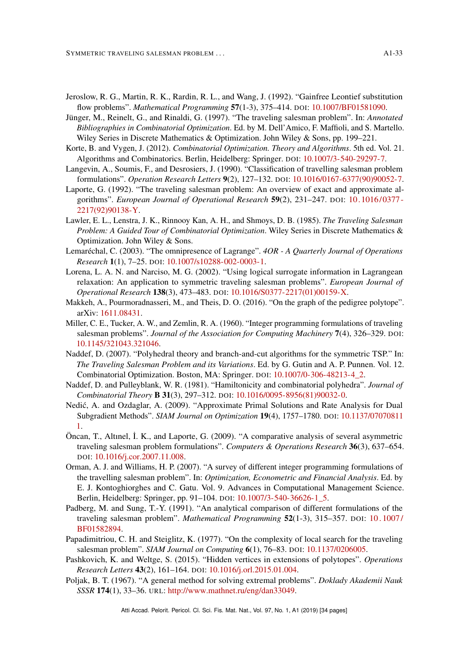- <span id="page-32-8"></span>Jeroslow, R. G., Martin, R. K., Rardin, R. L., and Wang, J. (1992). "Gainfree Leontief substitution flow problems". *Mathematical Programming* 57(1-3), 375–414. DOI: [10.1007/BF01581090.](https://doi.org/10.1007/BF01581090)
- <span id="page-32-2"></span>Jünger, M., Reinelt, G., and Rinaldi, G. (1997). "The traveling salesman problem". In: *Annotated Bibliographies in Combinatorial Optimization*. Ed. by M. Dell'Amico, F. Maffioli, and S. Martello. Wiley Series in Discrete Mathematics & Optimization. John Wiley & Sons, pp. 199–221.
- <span id="page-32-3"></span>Korte, B. and Vygen, J. (2012). *Combinatorial Optimization. Theory and Algorithms*. 5th ed. Vol. 21. Algorithms and Combinatorics. Berlin, Heidelberg: Springer. DOI: [10.1007/3-540-29297-7.](https://doi.org/10.1007/3-540-29297-7)
- <span id="page-32-5"></span>Langevin, A., Soumis, F., and Desrosiers, J. (1990). "Classification of travelling salesman problem formulations". *Operation Research Letters* 9(2), 127–132. DOI: [10.1016/0167-6377\(90\)90052-7.](https://doi.org/10.1016/0167-6377(90)90052-7)
- <span id="page-32-1"></span>Laporte, G. (1992). "The traveling salesman problem: An overview of exact and approximate algorithms". *European Journal of Operational Research* 59(2), 231–247. DOI: [10.1016/0377-](https://doi.org/10.1016/0377-2217(92)90138-Y) [2217\(92\)90138-Y.](https://doi.org/10.1016/0377-2217(92)90138-Y)
- <span id="page-32-0"></span>Lawler, E. L., Lenstra, J. K., Rinnooy Kan, A. H., and Shmoys, D. B. (1985). *The Traveling Salesman Problem: A Guided Tour of Combinatorial Optimization*. Wiley Series in Discrete Mathematics & Optimization. John Wiley & Sons.
- <span id="page-32-15"></span>Lemaréchal, C. (2003). "The omnipresence of Lagrange". *4OR - A Quarterly Journal of Operations Research* 1(1), 7–25. DOI: [10.1007/s10288-002-0003-1.](https://doi.org/10.1007/s10288-002-0003-1)
- <span id="page-32-14"></span>Lorena, L. A. N. and Narciso, M. G. (2002). "Using logical surrogate information in Lagrangean relaxation: An application to symmetric traveling salesman problems". *European Journal of Operational Research* 138(3), 473–483. DOI: [10.1016/S0377-2217\(01\)00159-X.](https://doi.org/10.1016/S0377-2217(01)00159-X)
- <span id="page-32-18"></span>Makkeh, A., Pourmoradnasseri, M., and Theis, D. O. (2016). "On the graph of the pedigree polytope". arXiv: [1611.08431.](https://arxiv.org/abs/1611.08431)
- <span id="page-32-7"></span>Miller, C. E., Tucker, A. W., and Zemlin, R. A. (1960). "Integer programming formulations of traveling salesman problems". *Journal of the Association for Computing Machinery* 7(4), 326–329. DOI: [10.1145/321043.321046.](https://doi.org/10.1145/321043.321046)
- <span id="page-32-4"></span>Naddef, D. (2007). "Polyhedral theory and branch-and-cut algorithms for the symmetric TSP." In: *The Traveling Salesman Problem and its Variations*. Ed. by G. Gutin and A. P. Punnen. Vol. 12. Combinatorial Optimization. Boston, MA: Springer. DOI: [10.1007/0-306-48213-4\\_2.](https://doi.org/10.1007/0-306-48213-4_2)
- <span id="page-32-16"></span>Naddef, D. and Pulleyblank, W. R. (1981). "Hamiltonicity and combinatorial polyhedra". *Journal of Combinatorial Theory* B 31(3), 297–312. DOI: [10.1016/0095-8956\(81\)90032-0.](https://doi.org/10.1016/0095-8956(81)90032-0)
- <span id="page-32-13"></span>Nedic, A. and Ozdaglar, A. (2009). "Approximate Primal Solutions and Rate Analysis for Dual ́ Subgradient Methods". *SIAM Journal on Optimization* 19(4), 1757–1780. DOI: [10.1137/07070811](https://doi.org/10.1137/070708111) [1.](https://doi.org/10.1137/070708111)
- <span id="page-32-6"></span>Öncan, T., Altınel, ̇I. K., and Laporte, G. (2009). "A comparative analysis of several asymmetric traveling salesman problem formulations". *Computers & Operations Research* 36(3), 637–654. DOI: [10.1016/j.cor.2007.11.008.](https://doi.org/10.1016/j.cor.2007.11.008)
- <span id="page-32-10"></span>Orman, A. J. and Williams, H. P. (2007). "A survey of different integer programming formulations of the travelling salesman problem". In: *Optimization, Econometric and Financial Analysis*. Ed. by E. J. Kontoghiorghes and C. Gatu. Vol. 9. Advances in Computational Management Science. Berlin, Heidelberg: Springer, pp. 91–104. DOI: [10.1007/3-540-36626-1\\_5.](https://doi.org/10.1007/3-540-36626-1_5)
- <span id="page-32-9"></span>Padberg, M. and Sung, T.-Y. (1991). "An analytical comparison of different formulations of the traveling salesman problem". *Mathematical Programming* 52(1-3), 315–357. DOI: [10 . 1007 /](https://doi.org/10.1007/BF01582894) [BF01582894.](https://doi.org/10.1007/BF01582894)
- <span id="page-32-11"></span>Papadimitriou, C. H. and Steiglitz, K. (1977). "On the complexity of local search for the traveling salesman problem". *SIAM Journal on Computing* 6(1), 76–83. DOI: [10.1137/0206005.](https://doi.org/10.1137/0206005)
- <span id="page-32-17"></span>Pashkovich, K. and Weltge, S. (2015). "Hidden vertices in extensions of polytopes". *Operations Research Letters* 43(2), 161–164. DOI: [10.1016/j.orl.2015.01.004.](https://doi.org/10.1016/j.orl.2015.01.004)
- <span id="page-32-12"></span>Poljak, B. T. (1967). "A general method for solving extremal problems". *Doklady Akademii Nauk SSSR* 174(1), 33–36. URL: [http://www.mathnet.ru/eng/dan33049.](http://www.mathnet.ru/eng/dan33049)